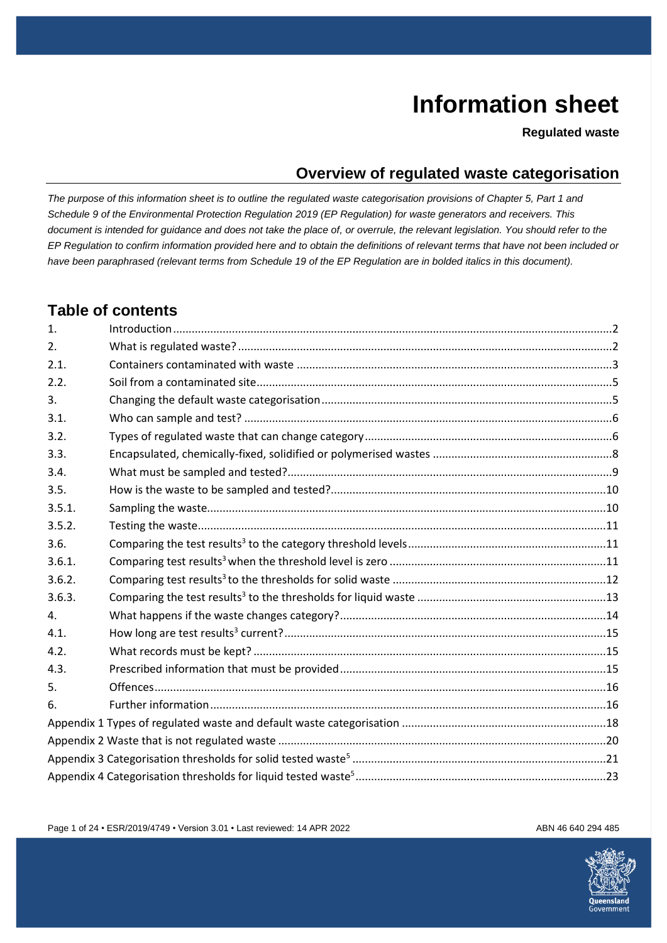# **Information sheet**

**Regulated waste**

### **Overview of regulated waste categorisation**

*The purpose of this information sheet is to outline the regulated waste categorisation provisions of Chapter 5, Part 1 and Schedule 9 of the Environmental Protection Regulation 2019 (EP Regulation) for waste generators and receivers. This document is intended for guidance and does not take the place of, or overrule, the relevant legislation. You should refer to the EP Regulation to confirm information provided here and to obtain the definitions of relevant terms that have not been included or have been paraphrased (relevant terms from Schedule 19 of the EP Regulation are in bolded italics in this document).*

#### **Table of contents**

| 1.     |  |
|--------|--|
| 2.     |  |
| 2.1.   |  |
| 2.2.   |  |
| 3.     |  |
| 3.1.   |  |
| 3.2.   |  |
| 3.3.   |  |
| 3.4.   |  |
| 3.5.   |  |
| 3.5.1. |  |
| 3.5.2. |  |
| 3.6.   |  |
| 3.6.1. |  |
| 3.6.2. |  |
| 3.6.3. |  |
| 4.     |  |
| 4.1.   |  |
| 4.2.   |  |
| 4.3.   |  |
| 5.     |  |
| 6.     |  |
|        |  |
|        |  |
|        |  |
|        |  |

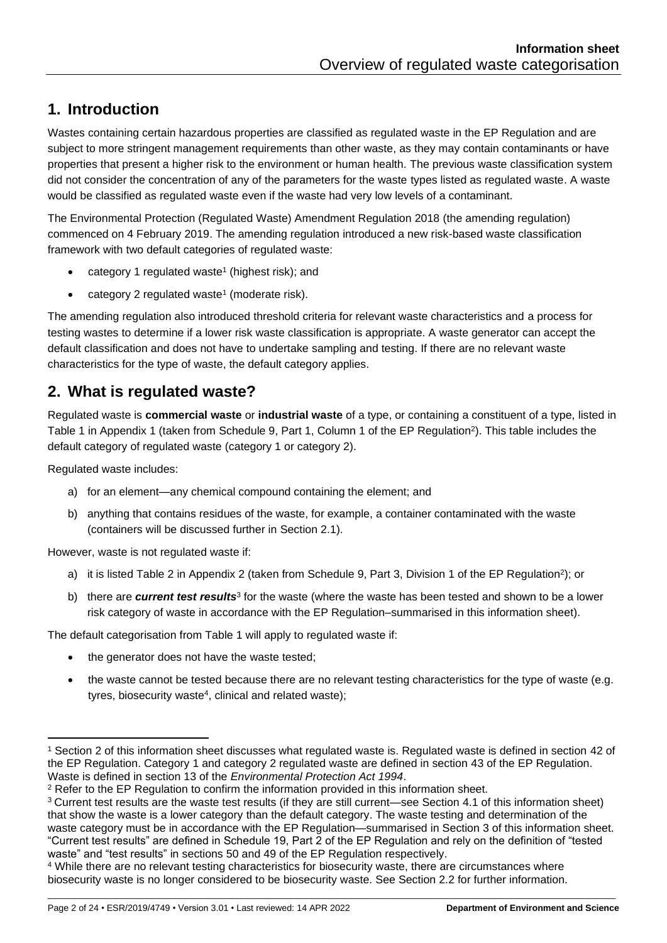# <span id="page-1-0"></span>**1. Introduction**

Wastes containing certain hazardous properties are classified as regulated waste in the EP Regulation and are subject to more stringent management requirements than other waste, as they may contain contaminants or have properties that present a higher risk to the environment or human health. The previous waste classification system did not consider the concentration of any of the parameters for the waste types listed as regulated waste. A waste would be classified as regulated waste even if the waste had very low levels of a contaminant.

The Environmental Protection (Regulated Waste) Amendment Regulation 2018 (the amending regulation) commenced on 4 February 2019. The amending regulation introduced a new risk-based waste classification framework with two default categories of regulated waste:

- <span id="page-1-2"></span>• category 1 regulated waste<sup>1</sup> (highest risk); and
- $\bullet$  $\bullet$  $\bullet$  category 2 regulated waste<sup>1</sup> (moderate risk).

The amending regulation also introduced threshold criteria for relevant waste characteristics and a process for testing wastes to determine if a lower risk waste classification is appropriate. A waste generator can accept the default classification and does not have to undertake sampling and testing. If there are no relevant waste characteristics for the type of waste, the default category applies.

### <span id="page-1-1"></span>**2. What is regulated waste?**

Regulated waste is **commercial waste** or **industrial waste** of a type, or containing a constituent of a type, listed in Table 1 in Appendix 1 (taken from Schedule 9, Part 1, Column 1 of the EP Regulation<sup>2</sup>). This table includes the default category of regulated waste (category 1 or category 2).

Regulated waste includes:

- <span id="page-1-3"></span>a) for an element—any chemical compound containing the element; and
- b) anything that contains residues of the waste, for example, a container contaminated with the waste (containers will be discussed further in Section [2.1\)](#page-2-0).

However, waste is not regulated waste if:

- a) it is listed Table [2](#page-1-3) in Appendix 2 (taken from Schedule 9, Part 3, Division 1 of the EP Regulation<sup>2</sup>); or
- <span id="page-1-4"></span>b) there are *current test results*<sup>3</sup> for the waste (where the waste has been tested and shown to be a lower risk category of waste in accordance with the EP Regulation–summarised in this information sheet).

The default categorisation from Table 1 will apply to regulated waste if:

- the generator does not have the waste tested;
- the waste cannot be tested because there are no relevant testing characteristics for the type of waste (e.g. tyres, biosecurity waste<sup>4</sup>, clinical and related waste);

<sup>1</sup> Section [2](#page-1-1) of this information sheet discusses what regulated waste is. Regulated waste is defined in section 42 of the EP Regulation. Category 1 and category 2 regulated waste are defined in section 43 of the EP Regulation. Waste is defined in section 13 of the *Environmental Protection Act 1994*.

<sup>2</sup> Refer to the EP Regulation to confirm the information provided in this information sheet.

<sup>3</sup> Current test results are the waste test results (if they are still current—see Section [4.1](#page-14-0) of this information sheet) that show the waste is a lower category than the default category. The waste testing and determination of the waste category must be in accordance with the EP Regulation—summarised in Section [3](#page-4-1) of this information sheet. "Current test results" are defined in Schedule 19, Part 2 of the EP Regulation and rely on the definition of "tested waste" and "test results" in sections 50 and 49 of the EP Regulation respectively.

<sup>4</sup> While there are no relevant testing characteristics for biosecurity waste, there are circumstances where biosecurity waste is no longer considered to be biosecurity waste. See Section 2.2 for further information.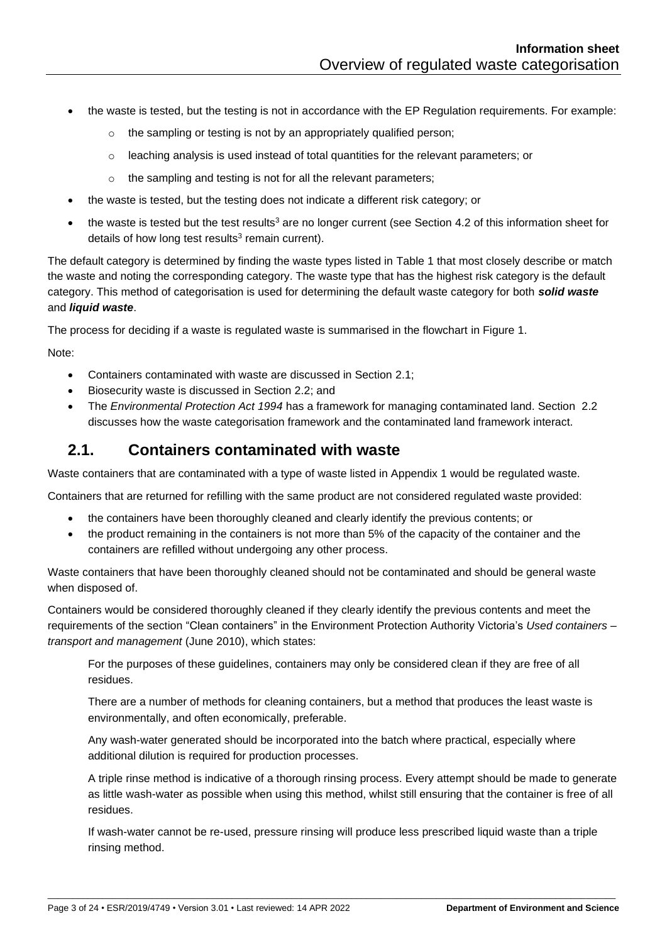- the waste is tested, but the testing is not in accordance with the EP Regulation requirements. For example:
	- o the sampling or testing is not by an appropriately qualified person;
	- $\circ$  leaching analysis is used instead of total quantities for the relevant parameters; or
	- o the sampling and testing is not for all the relevant parameters;
- the waste is tested, but the testing does not indicate a different risk category; or
- the waste is tested but the test results<sup>[3](#page-1-4)</sup> are no longer current (see Section [4.2](#page-14-1) of this information sheet for detail[s](#page-1-4) of how long test results $3$  remain current).

The default category is determined by finding the waste types listed in Table 1 that most closely describe or match the waste and noting the corresponding category. The waste type that has the highest risk category is the default category. This method of categorisation is used for determining the default waste category for both *solid waste* and *liquid waste*.

The process for deciding if a waste is regulated waste is summarised in the flowchart in Figure 1.

Note:

- Containers contaminated with waste are discussed in Section [2.1;](#page-2-0)
- Biosecurity waste is discussed in Section [2.2;](#page-4-0) and
- The *Environmental Protection Act 1994* has a framework for managing contaminated land. Section [2.2](#page-4-0) discusses how the waste categorisation framework and the contaminated land framework interact.

#### <span id="page-2-0"></span>**2.1. Containers contaminated with waste**

Waste containers that are contaminated with a type of waste listed in Appendix 1 would be regulated waste.

Containers that are returned for refilling with the same product are not considered regulated waste provided:

- the containers have been thoroughly cleaned and clearly identify the previous contents; or
- the product remaining in the containers is not more than 5% of the capacity of the container and the containers are refilled without undergoing any other process.

Waste containers that have been thoroughly cleaned should not be contaminated and should be general waste when disposed of.

Containers would be considered thoroughly cleaned if they clearly identify the previous contents and meet the requirements of the section "Clean containers" in the Environment Protection Authority Victoria's *Used containers – transport and management* (June 2010), which states:

For the purposes of these guidelines, containers may only be considered clean if they are free of all residues.

There are a number of methods for cleaning containers, but a method that produces the least waste is environmentally, and often economically, preferable.

Any wash-water generated should be incorporated into the batch where practical, especially where additional dilution is required for production processes.

A triple rinse method is indicative of a thorough rinsing process. Every attempt should be made to generate as little wash-water as possible when using this method, whilst still ensuring that the container is free of all residues.

If wash-water cannot be re-used, pressure rinsing will produce less prescribed liquid waste than a triple rinsing method.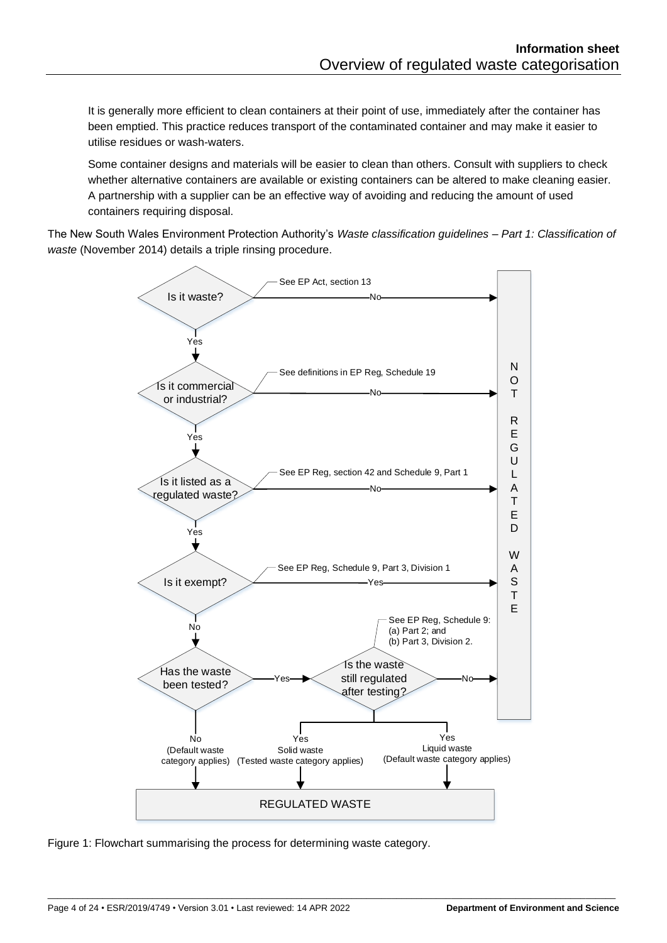It is generally more efficient to clean containers at their point of use, immediately after the container has been emptied. This practice reduces transport of the contaminated container and may make it easier to utilise residues or wash-waters.

Some container designs and materials will be easier to clean than others. Consult with suppliers to check whether alternative containers are available or existing containers can be altered to make cleaning easier. A partnership with a supplier can be an effective way of avoiding and reducing the amount of used containers requiring disposal.

The New South Wales Environment Protection Authority's *Waste classification guidelines – Part 1: Classification of waste* (November 2014) details a triple rinsing procedure.



\_\_\_\_\_\_\_\_\_\_\_\_\_\_\_\_\_\_\_\_\_\_\_\_\_\_\_\_\_\_\_\_\_\_\_\_\_\_\_\_\_\_\_\_\_\_\_\_\_\_\_\_\_\_\_\_\_\_\_\_\_\_\_\_\_\_\_\_\_\_\_\_\_\_\_\_\_\_\_\_\_\_\_\_\_\_\_\_\_\_\_\_\_\_\_\_\_\_\_\_\_\_\_\_\_\_\_\_\_\_\_\_\_\_

Figure 1: Flowchart summarising the process for determining waste category.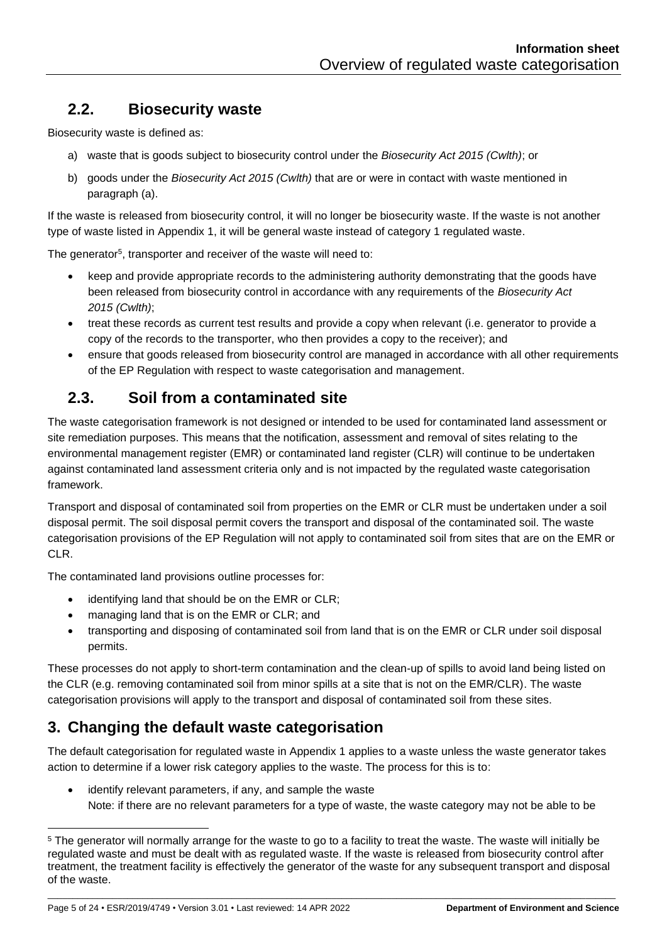# <span id="page-4-0"></span>**2.2. Biosecurity waste**

Biosecurity waste is defined as:

- a) waste that is goods subject to biosecurity control under the *Biosecurity Act 2015 (Cwlth)*; or
- b) goods under the *Biosecurity Act 2015 (Cwlth)* that are or were in contact with waste mentioned in paragraph (a).

If the waste is released from biosecurity control, it will no longer be biosecurity waste. If the waste is not another type of waste listed in Appendix 1, it will be general waste instead of category 1 regulated waste.

The generator<sup>5</sup>, transporter and receiver of the waste will need to:

- keep and provide appropriate records to the administering authority demonstrating that the goods have been released from biosecurity control in accordance with any requirements of the *Biosecurity Act 2015 (Cwlth)*;
- treat these records as current test results and provide a copy when relevant (i.e. generator to provide a copy of the records to the transporter, who then provides a copy to the receiver); and
- ensure that goods released from biosecurity control are managed in accordance with all other requirements of the EP Regulation with respect to waste categorisation and management.

# **2.3. Soil from a contaminated site**

The waste categorisation framework is not designed or intended to be used for contaminated land assessment or site remediation purposes. This means that the notification, assessment and removal of sites relating to the environmental management register (EMR) or contaminated land register (CLR) will continue to be undertaken against contaminated land assessment criteria only and is not impacted by the regulated waste categorisation framework.

Transport and disposal of contaminated soil from properties on the EMR or CLR must be undertaken under a soil disposal permit. The soil disposal permit covers the transport and disposal of the contaminated soil. The waste categorisation provisions of the EP Regulation will not apply to contaminated soil from sites that are on the EMR or CLR.

The contaminated land provisions outline processes for:

- identifying land that should be on the EMR or CLR;
- managing land that is on the EMR or CLR; and
- transporting and disposing of contaminated soil from land that is on the EMR or CLR under soil disposal permits.

These processes do not apply to short-term contamination and the clean-up of spills to avoid land being listed on the CLR (e.g. removing contaminated soil from minor spills at a site that is not on the EMR/CLR). The waste categorisation provisions will apply to the transport and disposal of contaminated soil from these sites.

#### <span id="page-4-1"></span>**3. Changing the default waste categorisation**

The default categorisation for regulated waste in Appendix 1 applies to a waste unless the waste generator takes action to determine if a lower risk category applies to the waste. The process for this is to:

identify relevant parameters, if any, and sample the waste Note: if there are no relevant parameters for a type of waste, the waste category may not be able to be

<sup>&</sup>lt;sup>5</sup> The generator will normally arrange for the waste to go to a facility to treat the waste. The waste will initially be regulated waste and must be dealt with as regulated waste. If the waste is released from biosecurity control after treatment, the treatment facility is effectively the generator of the waste for any subsequent transport and disposal of the waste.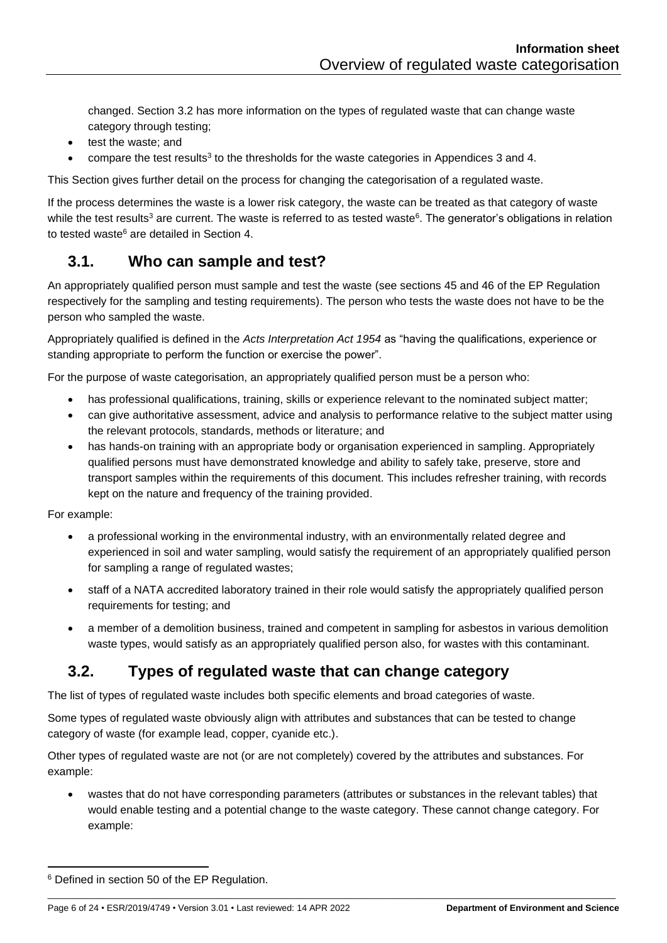<span id="page-5-2"></span>changed. Section [3.2](#page-5-1) has more information on the types of regulated waste that can change waste category through testing;

- test the waste; and
- compare the test results<sup>[3](#page-1-4)</sup> to the thresholds for the waste categories in Appendices 3 and 4.

This Section gives further detail on the process for changing the categorisation of a regulated waste.

If the process determines the waste is a lower risk category, the waste can be treated as that category of waste while the test results<sup>[3](#page-1-4)</sup> are current. The waste is referred to as tested waste<sup>6</sup>. The generator's obligations in relation to tested waste<sup>[6](#page-5-2)</sup> are detailed in Section [4.](#page-13-0)

#### <span id="page-5-0"></span>**3.1. Who can sample and test?**

An appropriately qualified person must sample and test the waste (see sections 45 and 46 of the EP Regulation respectively for the sampling and testing requirements). The person who tests the waste does not have to be the person who sampled the waste.

Appropriately qualified is defined in the *Acts Interpretation Act 1954* as "having the qualifications, experience or standing appropriate to perform the function or exercise the power".

For the purpose of waste categorisation, an appropriately qualified person must be a person who:

- has professional qualifications, training, skills or experience relevant to the nominated subject matter;
- can give authoritative assessment, advice and analysis to performance relative to the subject matter using the relevant protocols, standards, methods or literature; and
- has hands-on training with an appropriate body or organisation experienced in sampling. Appropriately qualified persons must have demonstrated knowledge and ability to safely take, preserve, store and transport samples within the requirements of this document. This includes refresher training, with records kept on the nature and frequency of the training provided.

For example:

- a professional working in the environmental industry, with an environmentally related degree and experienced in soil and water sampling, would satisfy the requirement of an appropriately qualified person for sampling a range of regulated wastes;
- staff of a NATA accredited laboratory trained in their role would satisfy the appropriately qualified person requirements for testing; and
- a member of a demolition business, trained and competent in sampling for asbestos in various demolition waste types, would satisfy as an appropriately qualified person also, for wastes with this contaminant.

#### <span id="page-5-1"></span>**3.2. Types of regulated waste that can change category**

The list of types of regulated waste includes both specific elements and broad categories of waste.

Some types of regulated waste obviously align with attributes and substances that can be tested to change category of waste (for example lead, copper, cyanide etc.).

Other types of regulated waste are not (or are not completely) covered by the attributes and substances. For example:

• wastes that do not have corresponding parameters (attributes or substances in the relevant tables) that would enable testing and a potential change to the waste category. These cannot change category. For example:

<sup>6</sup> Defined in section 50 of the EP Regulation.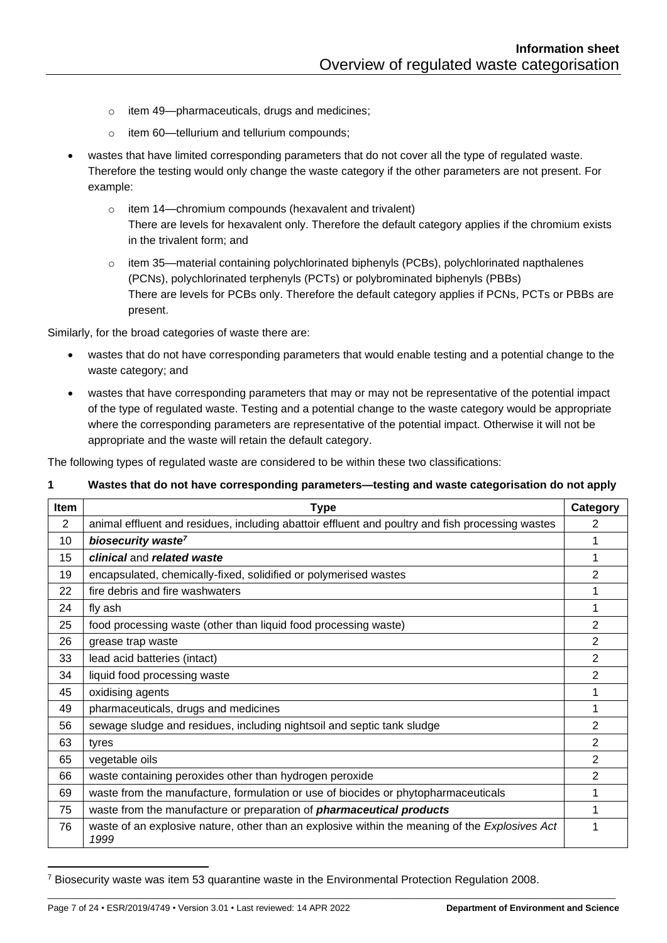- o item 49—pharmaceuticals, drugs and medicines;
- o item 60—tellurium and tellurium compounds;
- wastes that have limited corresponding parameters that do not cover all the type of regulated waste. Therefore the testing would only change the waste category if the other parameters are not present. For example:
	- o item 14—chromium compounds (hexavalent and trivalent) There are levels for hexavalent only. Therefore the default category applies if the chromium exists in the trivalent form; and
	- o item 35—material containing polychlorinated biphenyls (PCBs), polychlorinated napthalenes (PCNs), polychlorinated terphenyls (PCTs) or polybrominated biphenyls (PBBs) There are levels for PCBs only. Therefore the default category applies if PCNs, PCTs or PBBs are present.

Similarly, for the broad categories of waste there are:

- wastes that do not have corresponding parameters that would enable testing and a potential change to the waste category; and
- wastes that have corresponding parameters that may or may not be representative of the potential impact of the type of regulated waste. Testing and a potential change to the waste category would be appropriate where the corresponding parameters are representative of the potential impact. Otherwise it will not be appropriate and the waste will retain the default category.

The following types of regulated waste are considered to be within these two classifications:

#### **1 Wastes that do not have corresponding parameters—testing and waste categorisation do not apply**

| Item | <b>Type</b>                                                                                            | Category       |
|------|--------------------------------------------------------------------------------------------------------|----------------|
| 2    | animal effluent and residues, including abattoir effluent and poultry and fish processing wastes       | 2              |
| 10   | biosecurity waste <sup>7</sup>                                                                         |                |
| 15   | clinical and related waste                                                                             | 1              |
| 19   | encapsulated, chemically-fixed, solidified or polymerised wastes                                       | $\overline{2}$ |
| 22   | fire debris and fire washwaters                                                                        |                |
| 24   | fly ash                                                                                                | 1              |
| 25   | food processing waste (other than liquid food processing waste)                                        | 2              |
| 26   | grease trap waste                                                                                      | $\overline{2}$ |
| 33   | lead acid batteries (intact)                                                                           | $\overline{2}$ |
| 34   | liquid food processing waste                                                                           | $\overline{2}$ |
| 45   | oxidising agents                                                                                       | 1              |
| 49   | pharmaceuticals, drugs and medicines                                                                   | 1              |
| 56   | sewage sludge and residues, including nightsoil and septic tank sludge                                 | $\overline{2}$ |
| 63   | tyres                                                                                                  | $\overline{2}$ |
| 65   | vegetable oils                                                                                         | $\overline{2}$ |
| 66   | waste containing peroxides other than hydrogen peroxide                                                | 2              |
| 69   | waste from the manufacture, formulation or use of biocides or phytopharmaceuticals                     | 1              |
| 75   | waste from the manufacture or preparation of <i>pharmaceutical products</i>                            | 1              |
| 76   | waste of an explosive nature, other than an explosive within the meaning of the Explosives Act<br>1999 |                |

<sup>7</sup> Biosecurity waste was item 53 quarantine waste in the Environmental Protection Regulation 2008.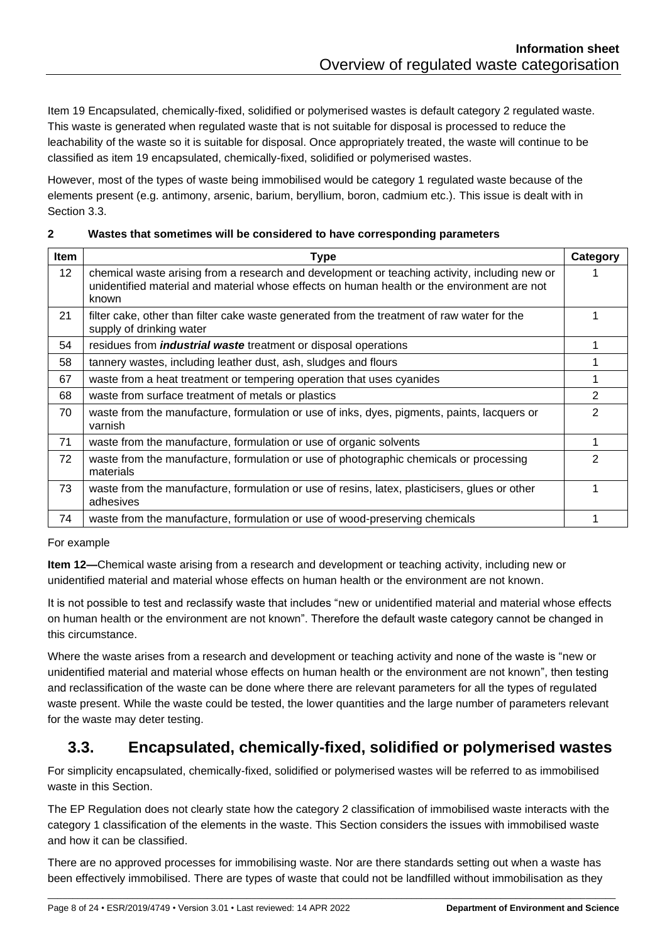Item 19 Encapsulated, chemically-fixed, solidified or polymerised wastes is default category 2 regulated waste. This waste is generated when regulated waste that is not suitable for disposal is processed to reduce the leachability of the waste so it is suitable for disposal. Once appropriately treated, the waste will continue to be classified as item 19 encapsulated, chemically-fixed, solidified or polymerised wastes.

However, most of the types of waste being immobilised would be category 1 regulated waste because of the elements present (e.g. antimony, arsenic, barium, beryllium, boron, cadmium etc.). This issue is dealt with in Section [3.3.](#page-7-0)

#### **2 Wastes that sometimes will be considered to have corresponding parameters**

| Item            | <b>Type</b>                                                                                                                                                                                           | Category       |
|-----------------|-------------------------------------------------------------------------------------------------------------------------------------------------------------------------------------------------------|----------------|
| 12 <sup>2</sup> | chemical waste arising from a research and development or teaching activity, including new or<br>unidentified material and material whose effects on human health or the environment are not<br>known |                |
| 21              | filter cake, other than filter cake waste generated from the treatment of raw water for the<br>supply of drinking water                                                                               |                |
| 54              | residues from <i>industrial waste</i> treatment or disposal operations                                                                                                                                |                |
| 58              | tannery wastes, including leather dust, ash, sludges and flours                                                                                                                                       |                |
| 67              | waste from a heat treatment or tempering operation that uses cyanides                                                                                                                                 |                |
| 68              | waste from surface treatment of metals or plastics                                                                                                                                                    | 2              |
| 70              | waste from the manufacture, formulation or use of inks, dyes, pigments, paints, lacquers or<br>varnish                                                                                                | 2              |
| 71              | waste from the manufacture, formulation or use of organic solvents                                                                                                                                    |                |
| 72              | waste from the manufacture, formulation or use of photographic chemicals or processing<br>materials                                                                                                   | $\overline{2}$ |
| 73              | waste from the manufacture, formulation or use of resins, latex, plasticisers, glues or other<br>adhesives                                                                                            |                |
| 74              | waste from the manufacture, formulation or use of wood-preserving chemicals                                                                                                                           |                |

For example

**Item 12—**Chemical waste arising from a research and development or teaching activity, including new or unidentified material and material whose effects on human health or the environment are not known.

It is not possible to test and reclassify waste that includes "new or unidentified material and material whose effects on human health or the environment are not known". Therefore the default waste category cannot be changed in this circumstance.

Where the waste arises from a research and development or teaching activity and none of the waste is "new or unidentified material and material whose effects on human health or the environment are not known", then testing and reclassification of the waste can be done where there are relevant parameters for all the types of regulated waste present. While the waste could be tested, the lower quantities and the large number of parameters relevant for the waste may deter testing.

# <span id="page-7-0"></span>**3.3. Encapsulated, chemically-fixed, solidified or polymerised wastes**

For simplicity encapsulated, chemically-fixed, solidified or polymerised wastes will be referred to as immobilised waste in this Section.

The EP Regulation does not clearly state how the category 2 classification of immobilised waste interacts with the category 1 classification of the elements in the waste. This Section considers the issues with immobilised waste and how it can be classified.

There are no approved processes for immobilising waste. Nor are there standards setting out when a waste has been effectively immobilised. There are types of waste that could not be landfilled without immobilisation as they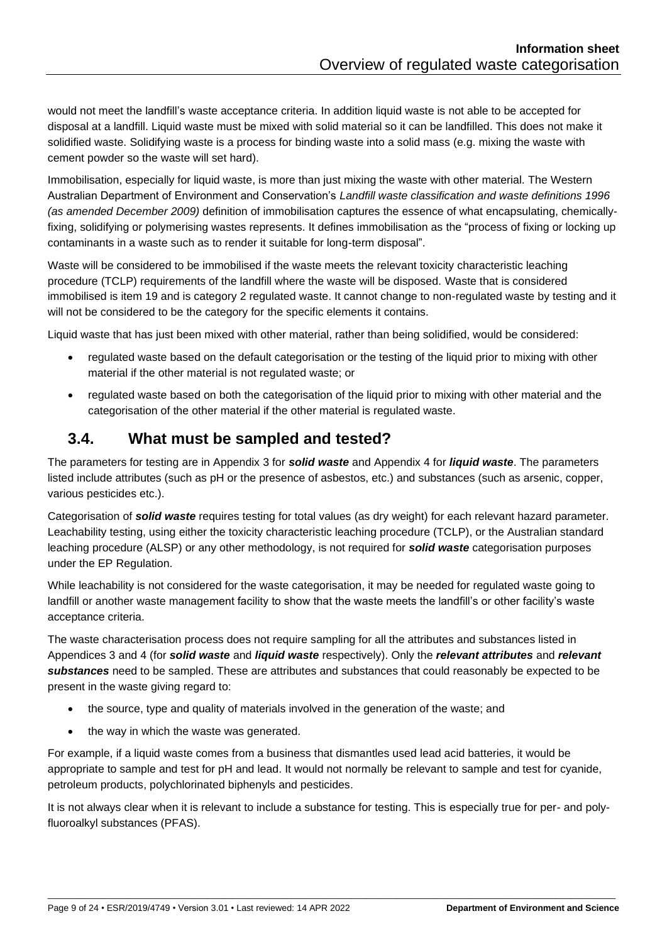would not meet the landfill's waste acceptance criteria. In addition liquid waste is not able to be accepted for disposal at a landfill. Liquid waste must be mixed with solid material so it can be landfilled. This does not make it solidified waste. Solidifying waste is a process for binding waste into a solid mass (e.g. mixing the waste with cement powder so the waste will set hard).

Immobilisation, especially for liquid waste, is more than just mixing the waste with other material. The Western Australian Department of Environment and Conservation's *Landfill waste classification and waste definitions 1996 (as amended December 2009)* definition of immobilisation captures the essence of what encapsulating, chemicallyfixing, solidifying or polymerising wastes represents. It defines immobilisation as the "process of fixing or locking up contaminants in a waste such as to render it suitable for long-term disposal".

Waste will be considered to be immobilised if the waste meets the relevant toxicity characteristic leaching procedure (TCLP) requirements of the landfill where the waste will be disposed. Waste that is considered immobilised is item 19 and is category 2 regulated waste. It cannot change to non-regulated waste by testing and it will not be considered to be the category for the specific elements it contains.

Liquid waste that has just been mixed with other material, rather than being solidified, would be considered:

- regulated waste based on the default categorisation or the testing of the liquid prior to mixing with other material if the other material is not regulated waste; or
- regulated waste based on both the categorisation of the liquid prior to mixing with other material and the categorisation of the other material if the other material is regulated waste.

#### <span id="page-8-0"></span>**3.4. What must be sampled and tested?**

The parameters for testing are in Appendix 3 for *solid waste* and Appendix 4 for *liquid waste*. The parameters listed include attributes (such as pH or the presence of asbestos, etc.) and substances (such as arsenic, copper, various pesticides etc.).

Categorisation of *solid waste* requires testing for total values (as dry weight) for each relevant hazard parameter. Leachability testing, using either the toxicity characteristic leaching procedure (TCLP), or the Australian standard leaching procedure (ALSP) or any other methodology, is not required for *solid waste* categorisation purposes under the EP Regulation.

While leachability is not considered for the waste categorisation, it may be needed for regulated waste going to landfill or another waste management facility to show that the waste meets the landfill's or other facility's waste acceptance criteria.

The waste characterisation process does not require sampling for all the attributes and substances listed in Appendices 3 and 4 (for *solid waste* and *liquid waste* respectively). Only the *relevant attributes* and *relevant substances* need to be sampled. These are attributes and substances that could reasonably be expected to be present in the waste giving regard to:

- the source, type and quality of materials involved in the generation of the waste; and
- the way in which the waste was generated.

For example, if a liquid waste comes from a business that dismantles used lead acid batteries, it would be appropriate to sample and test for pH and lead. It would not normally be relevant to sample and test for cyanide, petroleum products, polychlorinated biphenyls and pesticides.

It is not always clear when it is relevant to include a substance for testing. This is especially true for per- and polyfluoroalkyl substances (PFAS).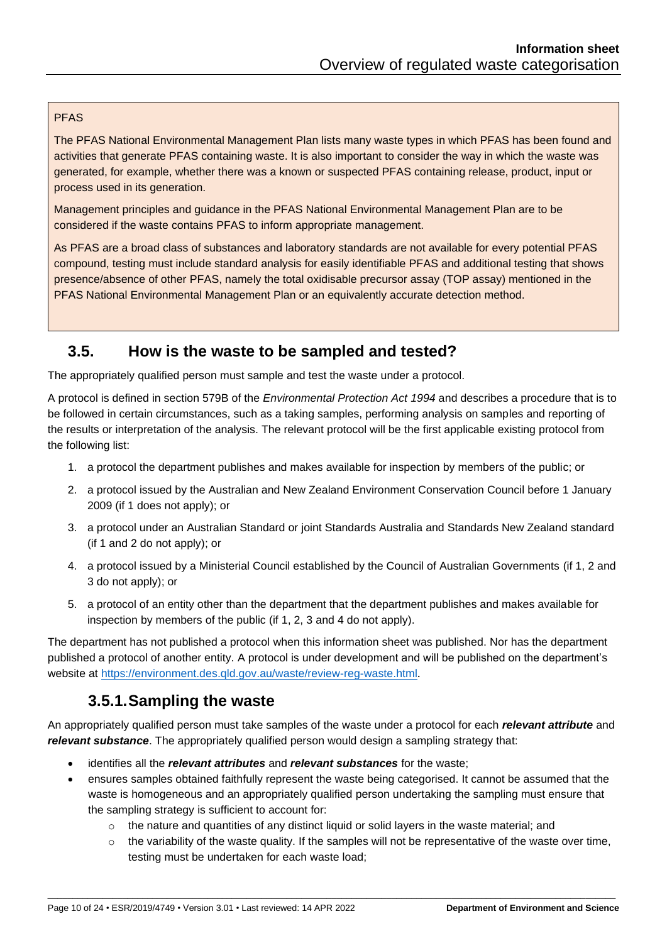#### PFAS

The PFAS National Environmental Management Plan lists many waste types in which PFAS has been found and activities that generate PFAS containing waste. It is also important to consider the way in which the waste was generated, for example, whether there was a known or suspected PFAS containing release, product, input or process used in its generation.

Management principles and guidance in the PFAS National Environmental Management Plan are to be considered if the waste contains PFAS to inform appropriate management.

As PFAS are a broad class of substances and laboratory standards are not available for every potential PFAS compound, testing must include standard analysis for easily identifiable PFAS and additional testing that shows presence/absence of other PFAS, namely the total oxidisable precursor assay (TOP assay) mentioned in the PFAS National Environmental Management Plan or an equivalently accurate detection method.

#### <span id="page-9-0"></span>**3.5. How is the waste to be sampled and tested?**

The appropriately qualified person must sample and test the waste under a protocol.

A protocol is defined in section 579B of the *Environmental Protection Act 1994* and describes a procedure that is to be followed in certain circumstances, such as a taking samples, performing analysis on samples and reporting of the results or interpretation of the analysis. The relevant protocol will be the first applicable existing protocol from the following list:

- 1. a protocol the department publishes and makes available for inspection by members of the public; or
- 2. a protocol issued by the Australian and New Zealand Environment Conservation Council before 1 January 2009 (if 1 does not apply); or
- 3. a protocol under an Australian Standard or joint Standards Australia and Standards New Zealand standard (if 1 and 2 do not apply); or
- 4. a protocol issued by a Ministerial Council established by the Council of Australian Governments (if 1, 2 and 3 do not apply); or
- 5. a protocol of an entity other than the department that the department publishes and makes available for inspection by members of the public (if 1, 2, 3 and 4 do not apply).

The department has not published a protocol when this information sheet was published. Nor has the department published a protocol of another entity. A protocol is under development and will be published on the department's website at<https://environment.des.qld.gov.au/waste/review-reg-waste.html>.

# **3.5.1.Sampling the waste**

<span id="page-9-1"></span>An appropriately qualified person must take samples of the waste under a protocol for each *relevant attribute* and *relevant substance*. The appropriately qualified person would design a sampling strategy that:

- identifies all the *relevant attributes* and *relevant substances* for the waste;
- ensures samples obtained faithfully represent the waste being categorised. It cannot be assumed that the waste is homogeneous and an appropriately qualified person undertaking the sampling must ensure that the sampling strategy is sufficient to account for:
	- $\circ$  the nature and quantities of any distinct liquid or solid layers in the waste material; and

\_\_\_\_\_\_\_\_\_\_\_\_\_\_\_\_\_\_\_\_\_\_\_\_\_\_\_\_\_\_\_\_\_\_\_\_\_\_\_\_\_\_\_\_\_\_\_\_\_\_\_\_\_\_\_\_\_\_\_\_\_\_\_\_\_\_\_\_\_\_\_\_\_\_\_\_\_\_\_\_\_\_\_\_\_\_\_\_\_\_\_\_\_\_\_\_\_\_\_\_\_\_\_\_\_\_\_\_\_\_\_\_\_\_

 $\circ$  the variability of the waste quality. If the samples will not be representative of the waste over time, testing must be undertaken for each waste load;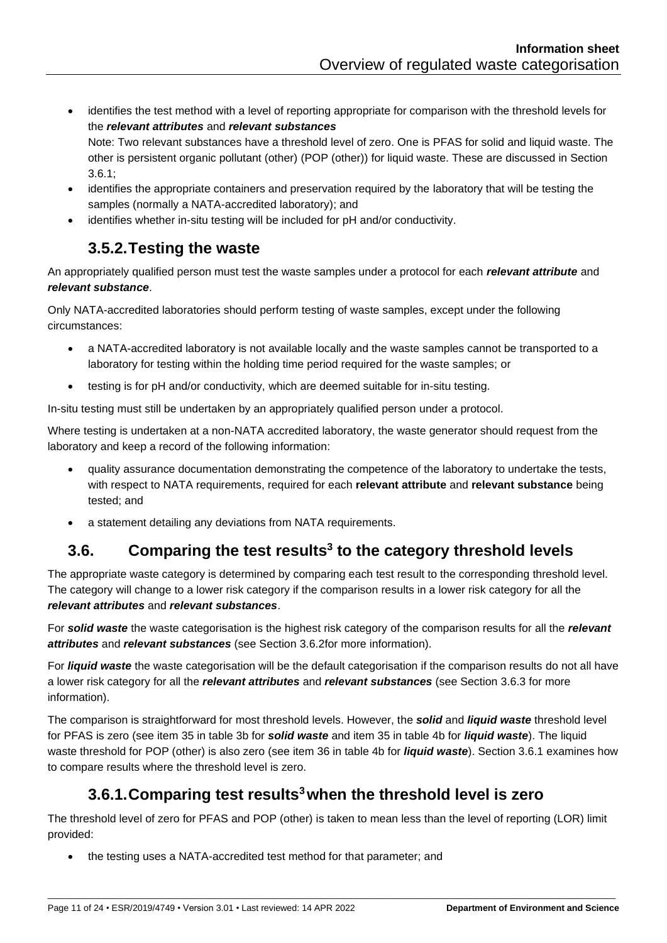- identifies the test method with a level of reporting appropriate for comparison with the threshold levels for the *relevant attributes* and *relevant substances* Note: Two relevant substances have a threshold level of zero. One is PFAS for solid and liquid waste. The other is persistent organic pollutant (other) (POP (other)) for liquid waste. These are discussed in Section [3.6.1;](#page-10-2)
- identifies the appropriate containers and preservation required by the laboratory that will be testing the samples (normally a NATA-accredited laboratory); and
- identifies whether in-situ testing will be included for pH and/or conductivity.

# **3.5.2.Testing the waste**

<span id="page-10-0"></span>An appropriately qualified person must test the waste samples under a protocol for each *relevant attribute* and *relevant substance*.

Only NATA-accredited laboratories should perform testing of waste samples, except under the following circumstances:

- a NATA-accredited laboratory is not available locally and the waste samples cannot be transported to a laboratory for testing within the holding time period required for the waste samples; or
- testing is for pH and/or conductivity, which are deemed suitable for in-situ testing.

In-situ testing must still be undertaken by an appropriately qualified person under a protocol.

Where testing is undertaken at a non-NATA accredited laboratory, the waste generator should request from the laboratory and keep a record of the following information:

- quality assurance documentation demonstrating the competence of the laboratory to undertake the tests, with respect to NATA requirements, required for each **relevant attribute** and **relevant substance** being tested; and
- a statement detailing any deviations from NATA requirements.

# <span id="page-10-1"></span>**3.6. Comparing the test results[3](#page-1-4) to the category threshold levels**

The appropriate waste category is determined by comparing each test result to the corresponding threshold level. The category will change to a lower risk category if the comparison results in a lower risk category for all the *relevant attributes* and *relevant substances*.

For *solid waste* the waste categorisation is the highest risk category of the comparison results for all the *relevant attributes* and *relevant substances* (see Section [3.6.2f](#page-11-0)or more information).

For *liquid waste* the waste categorisation will be the default categorisation if the comparison results do not all have a lower risk category for all the *relevant attributes* and *relevant substances* (see Section [3.6.3](#page-12-0) for more information).

The comparison is straightforward for most threshold levels. However, the *solid* and *liquid waste* threshold level for PFAS is zero (see item 35 in table 3b for *solid waste* and item 35 in table 4b for *liquid waste*). The liquid waste threshold for POP (other) is also zero (see item 36 in table 4b for *liquid waste*). Sectio[n 3.6.1](#page-10-2) examines how to compare results where the threshold level is zero.

# **3.6.1.Comparing test results[3](#page-1-4)when the threshold level is zero**

<span id="page-10-2"></span>The threshold level of zero for PFAS and POP (other) is taken to mean less than the level of reporting (LOR) limit provided:

\_\_\_\_\_\_\_\_\_\_\_\_\_\_\_\_\_\_\_\_\_\_\_\_\_\_\_\_\_\_\_\_\_\_\_\_\_\_\_\_\_\_\_\_\_\_\_\_\_\_\_\_\_\_\_\_\_\_\_\_\_\_\_\_\_\_\_\_\_\_\_\_\_\_\_\_\_\_\_\_\_\_\_\_\_\_\_\_\_\_\_\_\_\_\_\_\_\_\_\_\_\_\_\_\_\_\_\_\_\_\_\_\_\_

• the testing uses a NATA-accredited test method for that parameter; and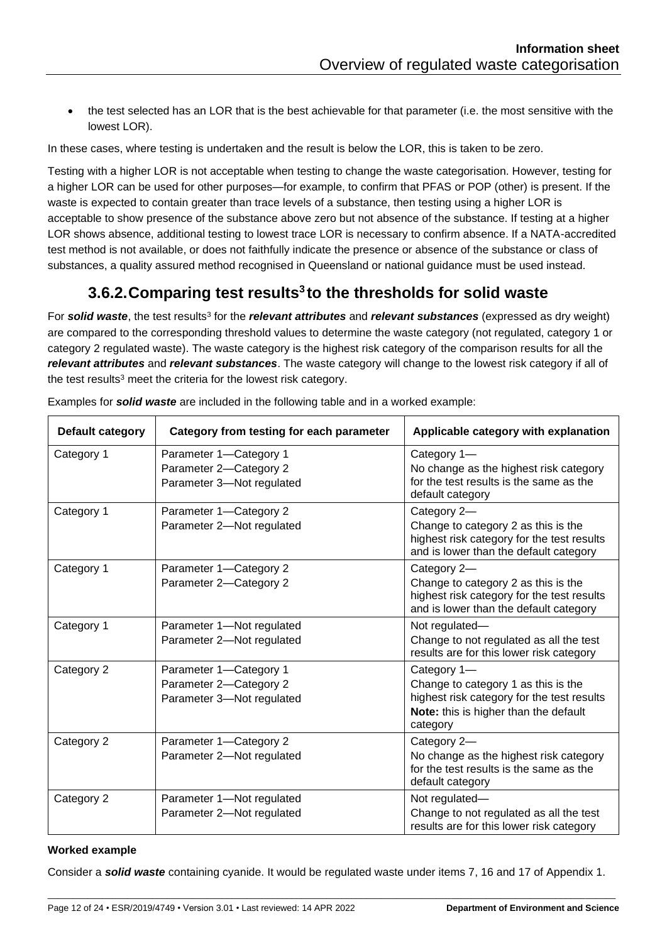• the test selected has an LOR that is the best achievable for that parameter (i.e. the most sensitive with the lowest LOR).

In these cases, where testing is undertaken and the result is below the LOR, this is taken to be zero.

Testing with a higher LOR is not acceptable when testing to change the waste categorisation. However, testing for a higher LOR can be used for other purposes—for example, to confirm that PFAS or POP (other) is present. If the waste is expected to contain greater than trace levels of a substance, then testing using a higher LOR is acceptable to show presence of the substance above zero but not absence of the substance. If testing at a higher LOR shows absence, additional testing to lowest trace LOR is necessary to confirm absence. If a NATA-accredited test method is not available, or does not faithfully indicate the presence or absence of the substance or class of substances, a quality assured method recognised in Queensland or national quidance must be used instead.

### **3.6.2.Comparing test results[3](#page-1-4) to the thresholds for solid waste**

<span id="page-11-0"></span>For *solid waste*, the test results<sup>[3](#page-1-4)</sup> for the *relevant attributes* and *relevant substances* (expressed as dry weight) are compared to the corresponding threshold values to determine the waste category (not regulated, category 1 or category 2 regulated waste). The waste category is the highest risk category of the comparison results for all the *relevant attributes* and *relevant substances*. The waste category will change to the lowest risk category if all of the te[s](#page-1-4)t results<sup>3</sup> meet the criteria for the lowest risk category.

| Default category | Category from testing for each parameter                                      | Applicable category with explanation                                                                                                                  |
|------------------|-------------------------------------------------------------------------------|-------------------------------------------------------------------------------------------------------------------------------------------------------|
| Category 1       | Parameter 1-Category 1<br>Parameter 2-Category 2<br>Parameter 3-Not regulated | Category 1-<br>No change as the highest risk category<br>for the test results is the same as the<br>default category                                  |
| Category 1       | Parameter 1-Category 2<br>Parameter 2-Not regulated                           | Category 2-<br>Change to category 2 as this is the<br>highest risk category for the test results<br>and is lower than the default category            |
| Category 1       | Parameter 1-Category 2<br>Parameter 2-Category 2                              | Category 2-<br>Change to category 2 as this is the<br>highest risk category for the test results<br>and is lower than the default category            |
| Category 1       | Parameter 1-Not regulated<br>Parameter 2-Not regulated                        | Not regulated-<br>Change to not regulated as all the test<br>results are for this lower risk category                                                 |
| Category 2       | Parameter 1-Category 1<br>Parameter 2-Category 2<br>Parameter 3-Not regulated | Category 1-<br>Change to category 1 as this is the<br>highest risk category for the test results<br>Note: this is higher than the default<br>category |
| Category 2       | Parameter 1-Category 2<br>Parameter 2-Not regulated                           | Category 2-<br>No change as the highest risk category<br>for the test results is the same as the<br>default category                                  |
| Category 2       | Parameter 1-Not regulated<br>Parameter 2-Not regulated                        | Not regulated-<br>Change to not regulated as all the test<br>results are for this lower risk category                                                 |

Examples for *solid waste* are included in the following table and in a worked example:

#### **Worked example**

Consider a *solid waste* containing cyanide. It would be regulated waste under items 7, 16 and 17 of Appendix 1.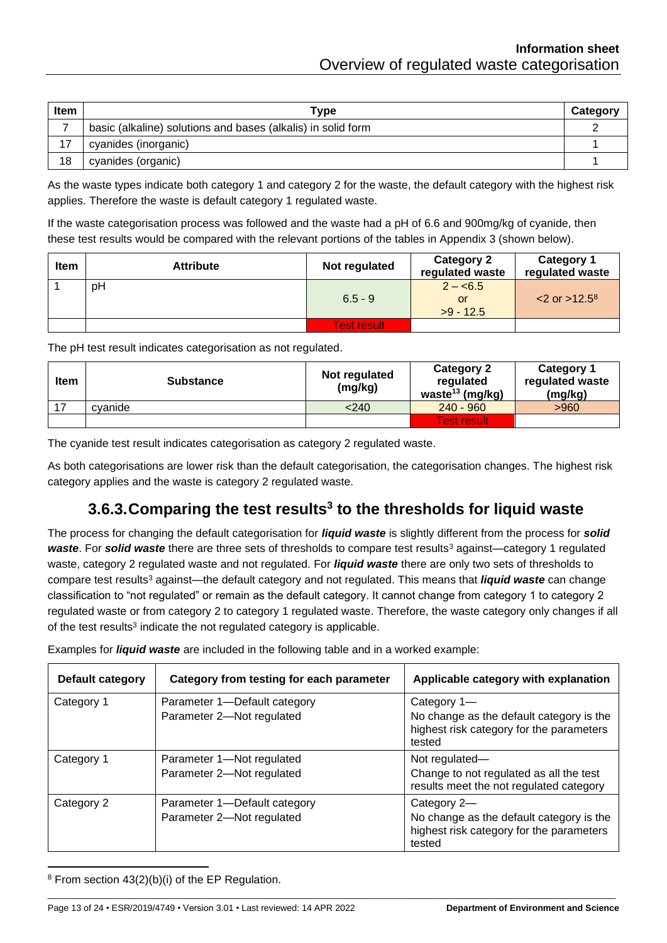| <b>Item</b> | Туре                                                         | Category |
|-------------|--------------------------------------------------------------|----------|
|             | basic (alkaline) solutions and bases (alkalis) in solid form |          |
| 17          | cyanides (inorganic)                                         |          |
| 18          | cyanides (organic)                                           |          |

As the waste types indicate both category 1 and category 2 for the waste, the default category with the highest risk applies. Therefore the waste is default category 1 regulated waste.

If the waste categorisation process was followed and the waste had a pH of 6.6 and 900mg/kg of cyanide, then these test results would be compared with the relevant portions of the tables in Appendix 3 (shown below).

| Item | <b>Attribute</b> | Not regulated      | <b>Category 2</b><br>regulated waste | <b>Category 1</b><br>regulated waste |
|------|------------------|--------------------|--------------------------------------|--------------------------------------|
|      | pH               | $6.5 - 9$          | $2 - 6.5$<br>or<br>$>9 - 12.5$       | $< 2$ or $> 12.5^8$                  |
|      |                  | <b>Test result</b> |                                      |                                      |

The pH test result indicates categorisation as not regulated.

| <b>Item</b> | <b>Substance</b> | Not regulated<br>(mg/kg) | <b>Category 2</b><br>regulated<br>waste <sup>13</sup> (mg/kg) | <b>Category 1</b><br>regulated waste<br>(mg/kg) |
|-------------|------------------|--------------------------|---------------------------------------------------------------|-------------------------------------------------|
|             | cvanide          | < 240                    | $240 - 960$                                                   | >960                                            |
|             |                  |                          | <b>Test result</b>                                            |                                                 |

The cyanide test result indicates categorisation as category 2 regulated waste.

As both categorisations are lower risk than the default categorisation, the categorisation changes. The highest risk category applies and the waste is category 2 regulated waste.

# **3.6.3.Comparing the test results[3](#page-1-4) to the thresholds for liquid waste**

<span id="page-12-0"></span>The process for changing the default categorisation for *liquid waste* is slightly different from the process for *solid waste*. For *solid waste* there are three sets of thresholds to compare test results<sup>[3](#page-1-4)</sup> against—category 1 regulated waste, category 2 regulated waste and not regulated. For *liquid waste* there are only two sets of thresholds to compare test result[s](#page-1-4)<sup>3</sup> against—the default category and not regulated. This means that *liquid waste* can change classification to "not regulated" or remain as the default category. It cannot change from category 1 to category 2 regulated waste or from category 2 to category 1 regulated waste. Therefore, the waste category only changes if all of the te[s](#page-1-4)t results<sup>3</sup> indicate the not regulated category is applicable.

| <b>Default category</b> | Category from testing for each parameter                  | Applicable category with explanation                                                                          |
|-------------------------|-----------------------------------------------------------|---------------------------------------------------------------------------------------------------------------|
| Category 1              | Parameter 1-Default category<br>Parameter 2-Not regulated | Category 1-<br>No change as the default category is the<br>highest risk category for the parameters<br>tested |
| Category 1              | Parameter 1-Not regulated<br>Parameter 2-Not regulated    | Not regulated-<br>Change to not regulated as all the test<br>results meet the not regulated category          |
| Category 2              | Parameter 1—Default category<br>Parameter 2-Not regulated | Category 2-<br>No change as the default category is the<br>highest risk category for the parameters<br>tested |

\_\_\_\_\_\_\_\_\_\_\_\_\_\_\_\_\_\_\_\_\_\_\_\_\_\_\_\_\_\_\_\_\_\_\_\_\_\_\_\_\_\_\_\_\_\_\_\_\_\_\_\_\_\_\_\_\_\_\_\_\_\_\_\_\_\_\_\_\_\_\_\_\_\_\_\_\_\_\_\_\_\_\_\_\_\_\_\_\_\_\_\_\_\_\_\_\_\_\_\_\_\_\_\_\_\_\_\_\_\_\_\_\_\_

Examples for *liquid waste* are included in the following table and in a worked example:

<sup>8</sup> From section 43(2)(b)(i) of the EP Regulation.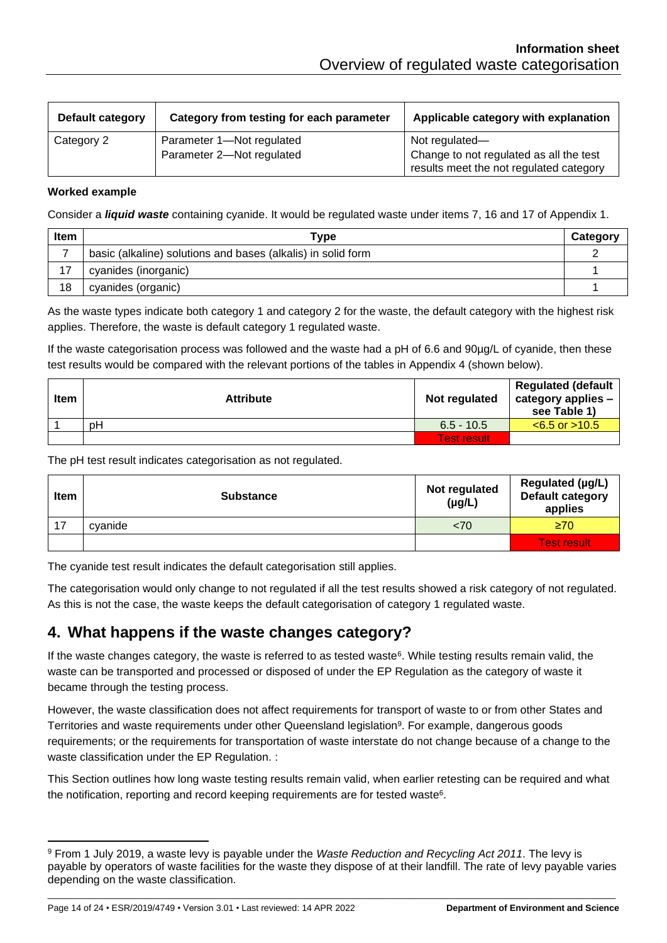| Default category | Category from testing for each parameter | Applicable category with explanation                                               |
|------------------|------------------------------------------|------------------------------------------------------------------------------------|
| Category 2       | Parameter 1-Not regulated                | Not regulated-                                                                     |
|                  | Parameter 2-Not regulated                | Change to not regulated as all the test<br>results meet the not regulated category |

#### **Worked example**

Consider a *liquid waste* containing cyanide. It would be regulated waste under items 7, 16 and 17 of Appendix 1.

| Item | Type                                                         | Category |
|------|--------------------------------------------------------------|----------|
|      | basic (alkaline) solutions and bases (alkalis) in solid form |          |
| 17   | cyanides (inorganic)                                         |          |
| 18   | cyanides (organic)                                           |          |

As the waste types indicate both category 1 and category 2 for the waste, the default category with the highest risk applies. Therefore, the waste is default category 1 regulated waste.

If the waste categorisation process was followed and the waste had a pH of 6.6 and 90µg/L of cyanide, then these test results would be compared with the relevant portions of the tables in Appendix 4 (shown below).

| <b>Item</b> | <b>Attribute</b> | Not regulated      | <b>Regulated (default</b><br>category applies -<br>see Table 1) |
|-------------|------------------|--------------------|-----------------------------------------------------------------|
|             | pH               | $6.5 - 10.5$       | $< 6.5$ or $> 10.5$                                             |
|             |                  | <b>Test result</b> |                                                                 |

The pH test result indicates categorisation as not regulated.

| <b>Item</b> | <b>Substance</b> | Not regulated<br>$(\mu g/L)$ | Regulated (µg/L)<br><b>Default category</b><br>applies |
|-------------|------------------|------------------------------|--------------------------------------------------------|
| 17          | cvanide          | < 70                         | $\geq 70$                                              |
|             |                  |                              | <b>Test result</b>                                     |

The cyanide test result indicates the default categorisation still applies.

The categorisation would only change to not regulated if all the test results showed a risk category of not regulated. As this is not the case, the waste keeps the default categorisation of category 1 regulated waste.

#### <span id="page-13-0"></span>**4. What happens if the waste changes category?**

If the waste changes category, the waste is referred to as tested waste<sup>6</sup>[.](#page-5-2) While testing results remain valid, the waste can be transported and processed or disposed of under the EP Regulation as the category of waste it became through the testing process.

However, the waste classification does not affect requirements for transport of waste to or from other States and Territories and waste requirements under other Queensland legislation<sup>9</sup>. For example, dangerous goods requirements; or the requirements for transportation of waste interstate do not change because of a change to the waste classification under the EP Regulation. :

This Section outlines how long waste testing results remain valid, when earlier retesting can be required and what the notification, reporting and record keeping requirements are for tested waste $6$ .

<sup>9</sup> From 1 July 2019, a waste levy is payable under the *Waste Reduction and Recycling Act 2011*. The levy is payable by operators of waste facilities for the waste they dispose of at their landfill. The rate of levy payable varies depending on the waste classification.

Page 14 of 24 • ESR/2019/4749 • Version 3.01 • Last reviewed: 14 APR 2022 **Department of Environment and Science**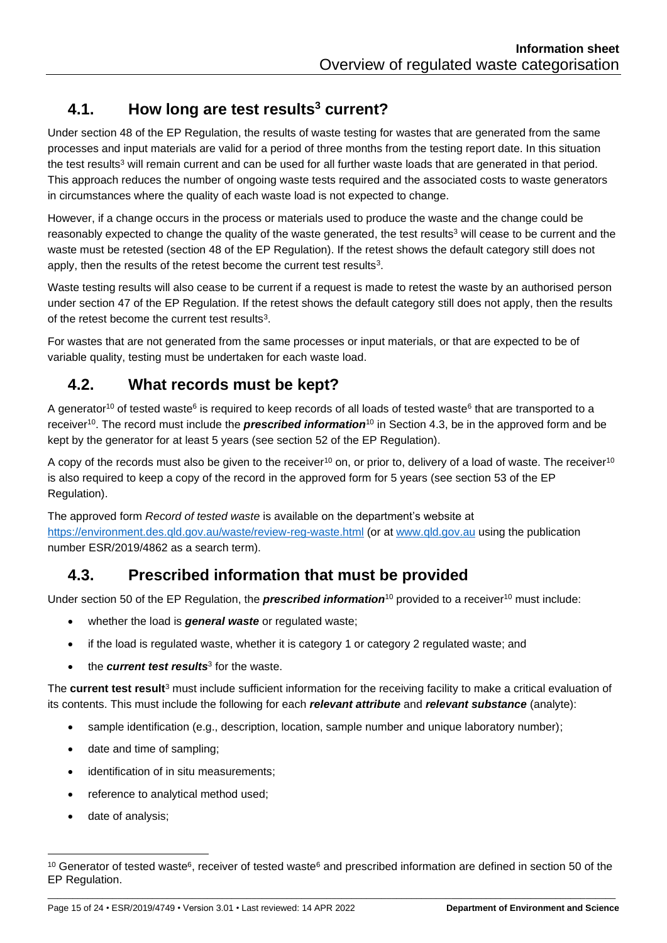# <span id="page-14-0"></span>**4.1. How long are test results[3](#page-1-4) current?**

Under section 48 of the EP Regulation, the results of waste testing for wastes that are generated from the same processes and input materials are valid for a period of three months from the testing report date. In this situation the te[s](#page-1-4)t results<sup>3</sup> will remain current and can be used for all further waste loads that are generated in that period. This approach reduces the number of ongoing waste tests required and the associated costs to waste generators in circumstances where the quality of each waste load is not expected to change.

However, if a change occurs in the process or materials used to produce the waste and the change could be reasonably expected to change the quality of the waste generated, the test results<sup>[3](#page-1-4)</sup> will cease to be current and the waste must be retested (section 48 of the EP Regulation). If the retest shows the default category still does not apply, then the results of the retest become the current test results<sup>[3](#page-1-4)</sup>.

Waste testing results will also cease to be current if a request is made to retest the waste by an authorised person under section 47 of the EP Regulation. If the retest shows the default category still does not apply, then the results of the retest become the current test results<sup>[3](#page-1-4)</sup>.

For wastes that are not generated from the same processes or input materials, or that are expected to be of variable quality, testing must be undertaken for each waste load.

# <span id="page-14-3"></span><span id="page-14-1"></span>**4.2. What records must be kept?**

A generator<sup>10</sup> of tested waste<sup>[6](#page-5-2)</sup> is required to keep records of all loads of tested waste<sup>6</sup> that are transported to a receiver[10](#page-14-3). The record must include the *prescribed information*[10](#page-14-3) in Section [4.3,](#page-14-2) be in the approved form and be kept by the generator for at least 5 years (see section 52 of the EP Regulation).

A copy of the records must also be given to the receiver<sup>[10](#page-14-3)</sup> on, or prior to, delivery of a load of waste. The receiver<sup>10</sup> is also required to keep a copy of the record in the approved form for 5 years (see section 53 of the EP Regulation).

The approved form *Record of tested waste* is available on the department's website at <https://environment.des.qld.gov.au/waste/review-reg-waste.html> (or at [www.qld.gov.au](http://www.qld.gov.au/) using the publication number ESR/2019/4862 as a search term).

# <span id="page-14-2"></span>**4.3. Prescribed information that must be provided**

Under section 50 of the EP Regulation, the **prescribed information**<sup>[10](#page-14-3)</sup> provided to a receiver<sup>10</sup> must include:

- whether the load is *general waste* or regulated waste;
- if the load is regulated waste, whether it is category 1 or category 2 regulated waste; and
- the *current test results*[3](#page-1-4) for the waste.

The **current test result**<sup>3</sup> must include sufficient information for the receiving facility to make a critical evaluation of its contents. This must include the following for each *relevant attribute* and *relevant substance* (analyte):

- sample identification (e.g., description, location, sample number and unique laboratory number);
- date and time of sampling;
- identification of in situ measurements;
- reference to analytical method used;
- date of analysis;

\_\_\_\_\_\_\_\_\_\_\_\_\_\_\_\_\_\_\_\_\_\_\_\_\_\_\_\_\_\_\_\_\_\_\_\_\_\_\_\_\_\_\_\_\_\_\_\_\_\_\_\_\_\_\_\_\_\_\_\_\_\_\_\_\_\_\_\_\_\_\_\_\_\_\_\_\_\_\_\_\_\_\_\_\_\_\_\_\_\_\_\_\_\_\_\_\_\_\_\_\_\_\_\_\_\_\_\_\_\_\_\_\_\_ <sup>10</sup> G[e](#page-5-2)nerator of tested waste<sup>[6](#page-5-2)</sup>, receiver of tested waste<sup>6</sup> and prescribed information are defined in section 50 of the EP Regulation.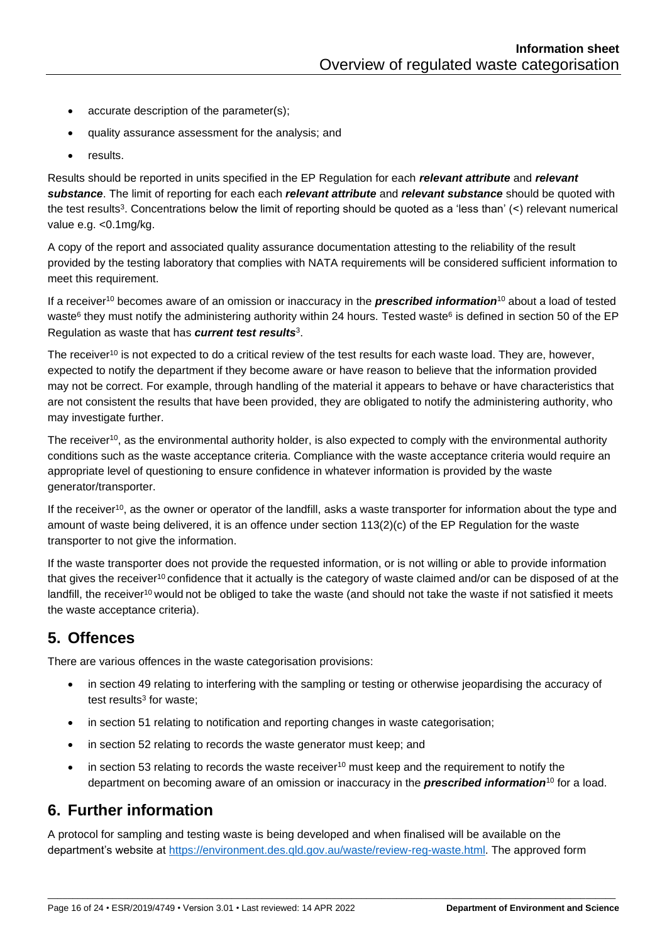- accurate description of the parameter(s);
- quality assurance assessment for the analysis; and
- results.

Results should be reported in units specified in the EP Regulation for each *relevant attribute* and *relevant substance*. The limit of reporting for each each *relevant attribute* and *relevant substance* should be quoted with the te[s](#page-1-4)t results<sup>3</sup>. Concentrations below the limit of reporting should be quoted as a 'less than' (<) relevant numerical value e.g. <0.1mg/kg.

A copy of the report and associated quality assurance documentation attesting to the reliability of the result provided by the testing laboratory that complies with NATA requirements will be considered sufficient information to meet this requirement.

If a receiver[10](#page-14-3) becomes aware of an omission or inaccuracy in the *prescribed information*[10](#page-14-3) about a load of tested wast[e](#page-5-2)<sup>[6](#page-5-2)</sup> they must notify the administering authority within 24 hours. Tested waste<sup>6</sup> is defined in section 50 of the EP Regulation as waste that has *current test results*[3](#page-1-4) .

The receiver<sup>[10](#page-14-3)</sup> is not expected to do a critical review of the test results for each waste load. They are, however, expected to notify the department if they become aware or have reason to believe that the information provided may not be correct. For example, through handling of the material it appears to behave or have characteristics that are not consistent the results that have been provided, they are obligated to notify the administering authority, who may investigate further.

The receiver<sup>[10](#page-14-3)</sup>, as the environmental authority holder, is also expected to comply with the environmental authority conditions such as the waste acceptance criteria. Compliance with the waste acceptance criteria would require an appropriate level of questioning to ensure confidence in whatever information is provided by the waste generator/transporter.

If the receiver<sup>[10](#page-14-3)</sup>, as the owner or operator of the landfill, asks a waste transporter for information about the type and amount of waste being delivered, it is an offence under section 113(2)(c) of the EP Regulation for the waste transporter to not give the information.

If the waste transporter does not provide the requested information, or is not willing or able to provide information that gives the receiver<sup>[10](#page-14-3)</sup> confidence that it actually is the category of waste claimed and/or can be disposed of at the landfill, the receiver<sup>[10](#page-14-3)</sup> would not be obliged to take the waste (and should not take the waste if not satisfied it meets the waste acceptance criteria).

# <span id="page-15-0"></span>**5. Offences**

There are various offences in the waste categorisation provisions:

- in section 49 relating to interfering with the sampling or testing or otherwise jeopardising the accuracy of test results<sup>[3](#page-1-4)</sup> for waste;
- in section 51 relating to notification and reporting changes in waste categorisation;
- in section 52 relating to records the waste generator must keep; and
- in section 53 relating to records the waste receiver<sup>[10](#page-14-3)</sup> must keep and the requirement to notify the department on becoming aware of an omission or inaccuracy in the *prescribed information*[10](#page-14-3) for a load.

#### <span id="page-15-1"></span>**6. Further information**

A protocol for sampling and testing waste is being developed and when finalised will be available on the department's website at [https://environment.des.qld.gov.au/waste/review-reg-waste.html.](https://environment.des.qld.gov.au/waste/review-reg-waste.html) The approved form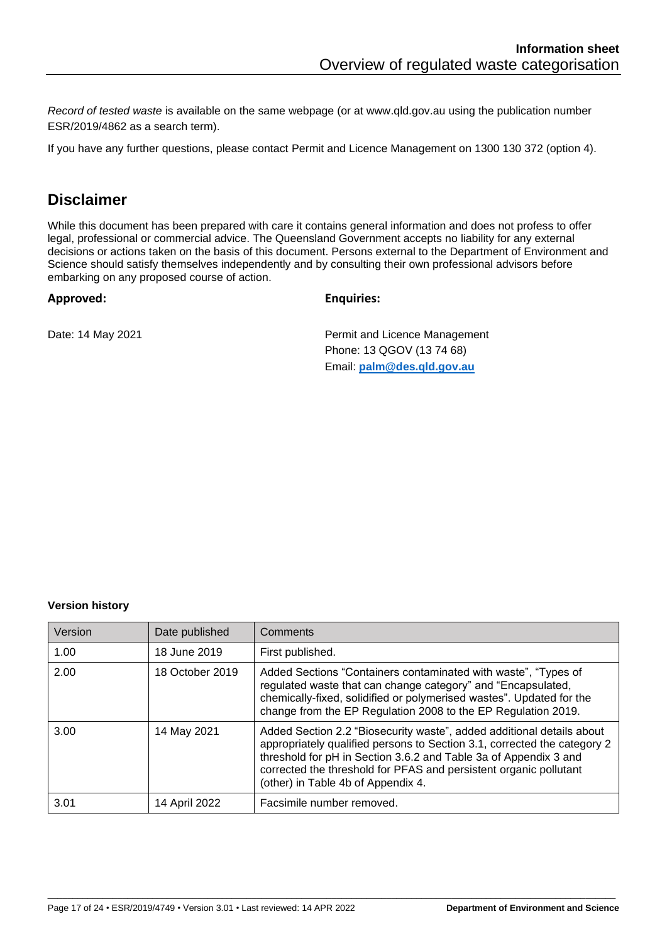*Record of tested waste* is available on the same webpage (or at www.qld.gov.au using the publication number ESR/2019/4862 as a search term).

If you have any further questions, please contact Permit and Licence Management on 1300 130 372 (option 4).

#### **Disclaimer**

While this document has been prepared with care it contains general information and does not profess to offer legal, professional or commercial advice. The Queensland Government accepts no liability for any external decisions or actions taken on the basis of this document. Persons external to the Department of Environment and Science should satisfy themselves independently and by consulting their own professional advisors before embarking on any proposed course of action.

#### **Approved: Enquiries:**

Date: 14 May 2021 **Permit and Licence Management** Phone: 13 QGOV (13 74 68) Email: **[palm@des.qld.gov.au](mailto:palm@ehp.qld.gov.au)**

#### **Version history**

| Version | Date published  | Comments                                                                                                                                                                                                                                                                                                                         |
|---------|-----------------|----------------------------------------------------------------------------------------------------------------------------------------------------------------------------------------------------------------------------------------------------------------------------------------------------------------------------------|
| 1.00    | 18 June 2019    | First published.                                                                                                                                                                                                                                                                                                                 |
| 2.00    | 18 October 2019 | Added Sections "Containers contaminated with waste", "Types of<br>regulated waste that can change category" and "Encapsulated,<br>chemically-fixed, solidified or polymerised wastes". Updated for the<br>change from the EP Regulation 2008 to the EP Regulation 2019.                                                          |
| 3.00    | 14 May 2021     | Added Section 2.2 "Biosecurity waste", added additional details about<br>appropriately qualified persons to Section 3.1, corrected the category 2<br>threshold for pH in Section 3.6.2 and Table 3a of Appendix 3 and<br>corrected the threshold for PFAS and persistent organic pollutant<br>(other) in Table 4b of Appendix 4. |
| 3.01    | 14 April 2022   | Facsimile number removed.                                                                                                                                                                                                                                                                                                        |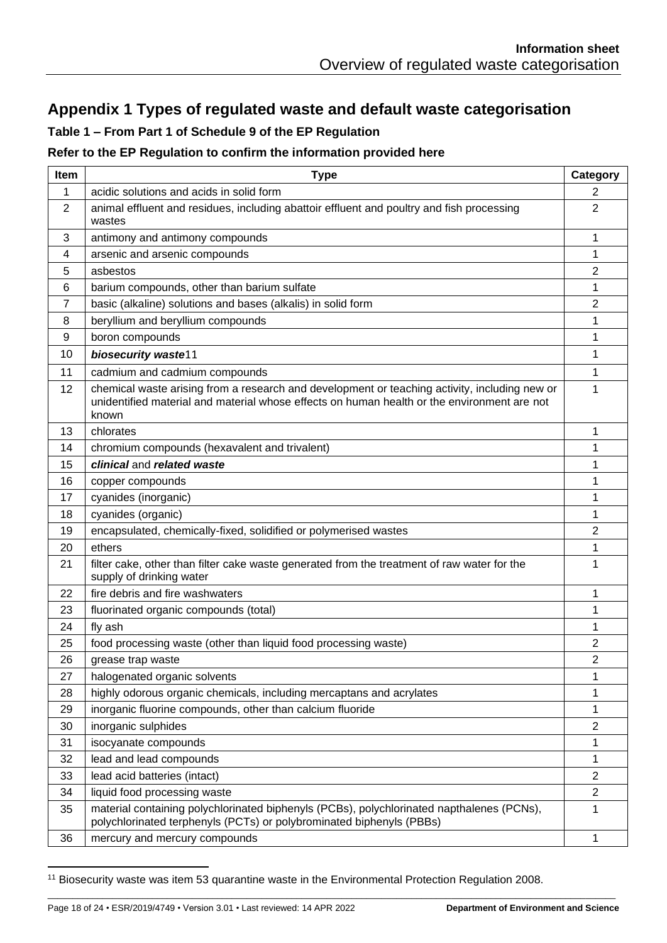# <span id="page-17-0"></span>**Appendix 1 Types of regulated waste and default waste categorisation**

#### **Table 1 – From Part 1 of Schedule 9 of the EP Regulation**

#### **Refer to the EP Regulation to confirm the information provided here**

| <b>Item</b> | <b>Type</b>                                                                                                                                                                                           | Category         |
|-------------|-------------------------------------------------------------------------------------------------------------------------------------------------------------------------------------------------------|------------------|
| 1           | acidic solutions and acids in solid form                                                                                                                                                              | $\overline{2}$   |
| 2           | animal effluent and residues, including abattoir effluent and poultry and fish processing<br>wastes                                                                                                   | 2                |
| 3           | antimony and antimony compounds                                                                                                                                                                       | 1                |
| 4           | arsenic and arsenic compounds                                                                                                                                                                         | 1                |
| 5           | asbestos                                                                                                                                                                                              | 2                |
| 6           | barium compounds, other than barium sulfate                                                                                                                                                           | 1                |
| 7           | basic (alkaline) solutions and bases (alkalis) in solid form                                                                                                                                          | $\overline{2}$   |
| 8           | beryllium and beryllium compounds                                                                                                                                                                     | 1                |
| 9           | boron compounds                                                                                                                                                                                       | 1                |
| 10          | biosecurity waste11                                                                                                                                                                                   | 1                |
| 11          | cadmium and cadmium compounds                                                                                                                                                                         | 1                |
| 12          | chemical waste arising from a research and development or teaching activity, including new or<br>unidentified material and material whose effects on human health or the environment are not<br>known | 1                |
| 13          | chlorates                                                                                                                                                                                             | 1                |
| 14          | chromium compounds (hexavalent and trivalent)                                                                                                                                                         | 1                |
| 15          | clinical and related waste                                                                                                                                                                            | 1                |
| 16          | copper compounds                                                                                                                                                                                      | 1                |
| 17          | cyanides (inorganic)                                                                                                                                                                                  | 1                |
| 18          | cyanides (organic)                                                                                                                                                                                    | 1                |
| 19          | encapsulated, chemically-fixed, solidified or polymerised wastes                                                                                                                                      | $\overline{2}$   |
| 20          | ethers                                                                                                                                                                                                | 1                |
| 21          | filter cake, other than filter cake waste generated from the treatment of raw water for the<br>supply of drinking water                                                                               | 1                |
| 22          | fire debris and fire washwaters                                                                                                                                                                       | 1                |
| 23          | fluorinated organic compounds (total)                                                                                                                                                                 | 1                |
| 24          | fly ash                                                                                                                                                                                               | 1                |
| 25          | food processing waste (other than liquid food processing waste)                                                                                                                                       | 2                |
| 26          | grease trap waste                                                                                                                                                                                     | $\overline{2}$   |
| 27          | halogenated organic solvents                                                                                                                                                                          | 1                |
| 28          | highly odorous organic chemicals, including mercaptans and acrylates                                                                                                                                  | 1                |
| 29          | inorganic fluorine compounds, other than calcium fluoride                                                                                                                                             | 1                |
| 30          | inorganic sulphides                                                                                                                                                                                   | $\boldsymbol{2}$ |
| 31          | isocyanate compounds                                                                                                                                                                                  | 1                |
| 32          | lead and lead compounds                                                                                                                                                                               | $\mathbf 1$      |
| 33          | lead acid batteries (intact)                                                                                                                                                                          | $\overline{2}$   |
| 34          | liquid food processing waste                                                                                                                                                                          | $\sqrt{2}$       |
| 35          | material containing polychlorinated biphenyls (PCBs), polychlorinated napthalenes (PCNs),<br>polychlorinated terphenyls (PCTs) or polybrominated biphenyls (PBBs)                                     | 1                |
| 36          | mercury and mercury compounds                                                                                                                                                                         | 1                |

Biosecurity waste was item 53 quarantine waste in the Environmental Protection Regulation 2008.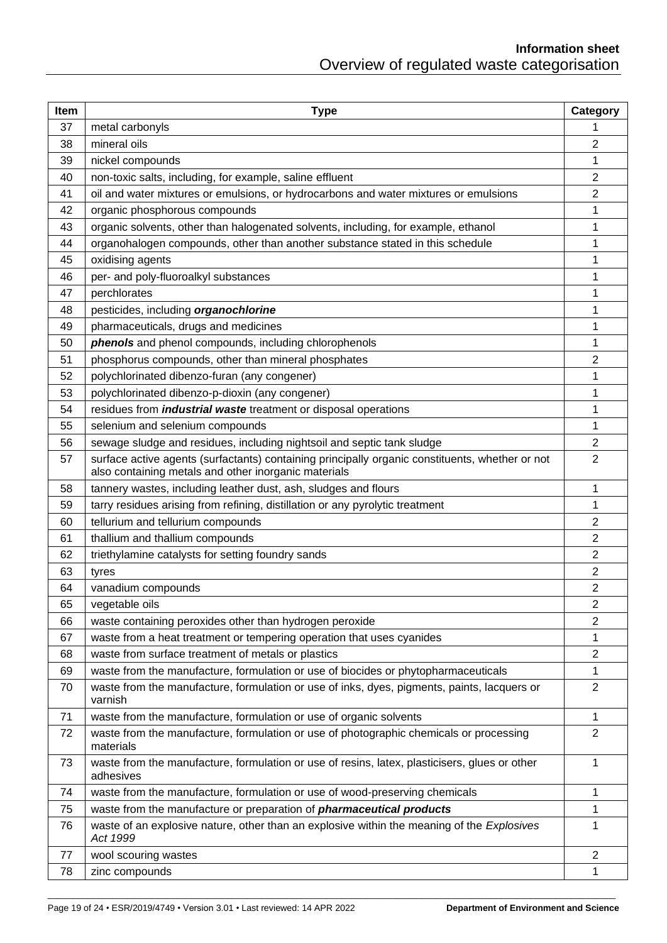| Item | <b>Type</b>                                                                                                                                             | Category       |
|------|---------------------------------------------------------------------------------------------------------------------------------------------------------|----------------|
| 37   | metal carbonyls                                                                                                                                         | 1              |
| 38   | mineral oils                                                                                                                                            | 2              |
| 39   | nickel compounds                                                                                                                                        | 1              |
| 40   | non-toxic salts, including, for example, saline effluent                                                                                                | $\overline{2}$ |
| 41   | oil and water mixtures or emulsions, or hydrocarbons and water mixtures or emulsions                                                                    | 2              |
| 42   | organic phosphorous compounds                                                                                                                           | 1              |
| 43   | organic solvents, other than halogenated solvents, including, for example, ethanol                                                                      | 1              |
| 44   | organohalogen compounds, other than another substance stated in this schedule                                                                           | 1              |
| 45   | oxidising agents                                                                                                                                        | 1              |
| 46   | per- and poly-fluoroalkyl substances                                                                                                                    | 1              |
| 47   | perchlorates                                                                                                                                            | 1              |
| 48   | pesticides, including organochlorine                                                                                                                    | 1              |
| 49   | pharmaceuticals, drugs and medicines                                                                                                                    | 1              |
| 50   | phenols and phenol compounds, including chlorophenols                                                                                                   | 1              |
| 51   | phosphorus compounds, other than mineral phosphates                                                                                                     | 2              |
| 52   | polychlorinated dibenzo-furan (any congener)                                                                                                            | 1              |
| 53   | polychlorinated dibenzo-p-dioxin (any congener)                                                                                                         | 1              |
| 54   | residues from <i>industrial waste</i> treatment or disposal operations                                                                                  | 1              |
| 55   | selenium and selenium compounds                                                                                                                         | 1              |
| 56   | sewage sludge and residues, including nightsoil and septic tank sludge                                                                                  | 2              |
| 57   | surface active agents (surfactants) containing principally organic constituents, whether or not<br>also containing metals and other inorganic materials | $\overline{2}$ |
| 58   | tannery wastes, including leather dust, ash, sludges and flours                                                                                         | 1              |
| 59   | tarry residues arising from refining, distillation or any pyrolytic treatment                                                                           | 1              |
| 60   | tellurium and tellurium compounds                                                                                                                       | 2              |
| 61   | thallium and thallium compounds                                                                                                                         | 2              |
| 62   | triethylamine catalysts for setting foundry sands                                                                                                       | 2              |
| 63   | tyres                                                                                                                                                   | 2              |
| 64   | vanadium compounds                                                                                                                                      | 2              |
| 65   | vegetable oils                                                                                                                                          | 2              |
| 66   | waste containing peroxides other than hydrogen peroxide                                                                                                 | $\overline{2}$ |
| 67   | waste from a heat treatment or tempering operation that uses cyanides                                                                                   | 1              |
| 68   | waste from surface treatment of metals or plastics                                                                                                      | $\overline{c}$ |
| 69   | waste from the manufacture, formulation or use of biocides or phytopharmaceuticals                                                                      | 1              |
| 70   | waste from the manufacture, formulation or use of inks, dyes, pigments, paints, lacquers or<br>varnish                                                  | $\overline{2}$ |
| 71   | waste from the manufacture, formulation or use of organic solvents                                                                                      | 1              |
| 72   | waste from the manufacture, formulation or use of photographic chemicals or processing<br>materials                                                     | 2              |
| 73   | waste from the manufacture, formulation or use of resins, latex, plasticisers, glues or other<br>adhesives                                              | 1              |
| 74   | waste from the manufacture, formulation or use of wood-preserving chemicals                                                                             | 1              |
| 75   | waste from the manufacture or preparation of <i>pharmaceutical products</i>                                                                             | 1              |
| 76   | waste of an explosive nature, other than an explosive within the meaning of the Explosives<br>Act 1999                                                  | 1              |
| 77   | wool scouring wastes                                                                                                                                    | $\overline{c}$ |
| 78   | zinc compounds                                                                                                                                          | 1              |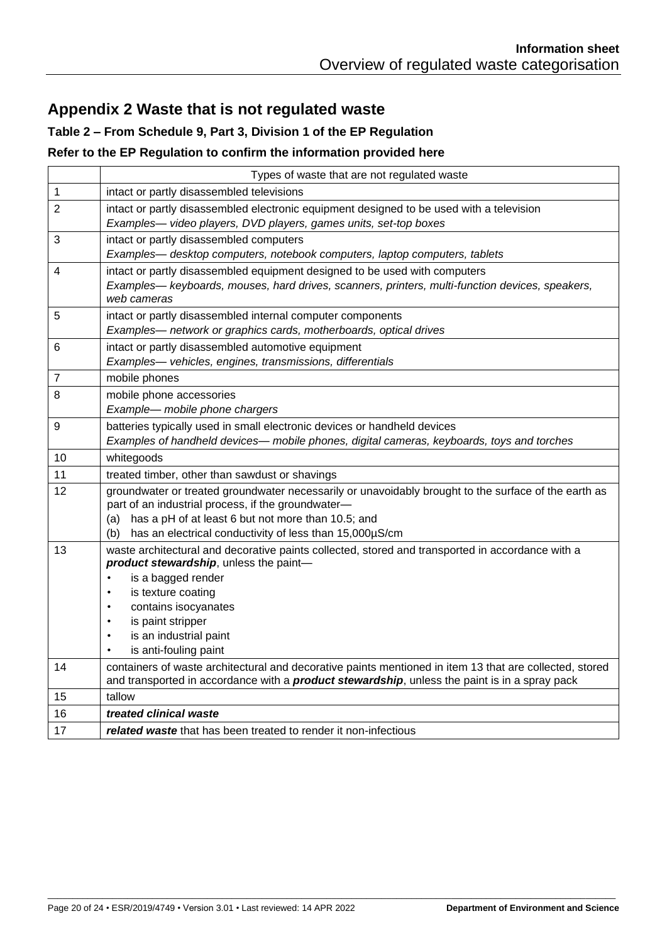# <span id="page-19-0"></span>**Appendix 2 Waste that is not regulated waste**

#### **Table 2 – From Schedule 9, Part 3, Division 1 of the EP Regulation**

#### **Refer to the EP Regulation to confirm the information provided here**

|                | Types of waste that are not regulated waste                                                                              |
|----------------|--------------------------------------------------------------------------------------------------------------------------|
| 1              | intact or partly disassembled televisions                                                                                |
| $\overline{2}$ | intact or partly disassembled electronic equipment designed to be used with a television                                 |
|                | Examples- video players, DVD players, games units, set-top boxes                                                         |
| 3              | intact or partly disassembled computers                                                                                  |
|                | Examples- desktop computers, notebook computers, laptop computers, tablets                                               |
| 4              | intact or partly disassembled equipment designed to be used with computers                                               |
|                | Examples— keyboards, mouses, hard drives, scanners, printers, multi-function devices, speakers,<br>web cameras           |
| 5              | intact or partly disassembled internal computer components                                                               |
|                | Examples— network or graphics cards, motherboards, optical drives                                                        |
| 6              | intact or partly disassembled automotive equipment                                                                       |
|                | Examples- vehicles, engines, transmissions, differentials                                                                |
| 7              | mobile phones                                                                                                            |
| 8              | mobile phone accessories                                                                                                 |
|                | Example- mobile phone chargers                                                                                           |
| 9              | batteries typically used in small electronic devices or handheld devices                                                 |
|                | Examples of handheld devices— mobile phones, digital cameras, keyboards, toys and torches                                |
| 10             | whitegoods                                                                                                               |
| 11             | treated timber, other than sawdust or shavings                                                                           |
| 12             | groundwater or treated groundwater necessarily or unavoidably brought to the surface of the earth as                     |
|                | part of an industrial process, if the groundwater-                                                                       |
|                | (a) has a pH of at least 6 but not more than 10.5; and<br>has an electrical conductivity of less than 15,000µS/cm<br>(b) |
| 13             | waste architectural and decorative paints collected, stored and transported in accordance with a                         |
|                | product stewardship, unless the paint-                                                                                   |
|                | is a bagged render<br>$\bullet$                                                                                          |
|                | is texture coating<br>$\bullet$                                                                                          |
|                | contains isocyanates<br>$\bullet$                                                                                        |
|                | is paint stripper                                                                                                        |
|                | is an industrial paint<br>is anti-fouling paint<br>$\bullet$                                                             |
| 14             | containers of waste architectural and decorative paints mentioned in item 13 that are collected, stored                  |
|                | and transported in accordance with a <b>product stewardship</b> , unless the paint is in a spray pack                    |
| 15             | tallow                                                                                                                   |
| 16             | treated clinical waste                                                                                                   |
| 17             | related waste that has been treated to render it non-infectious                                                          |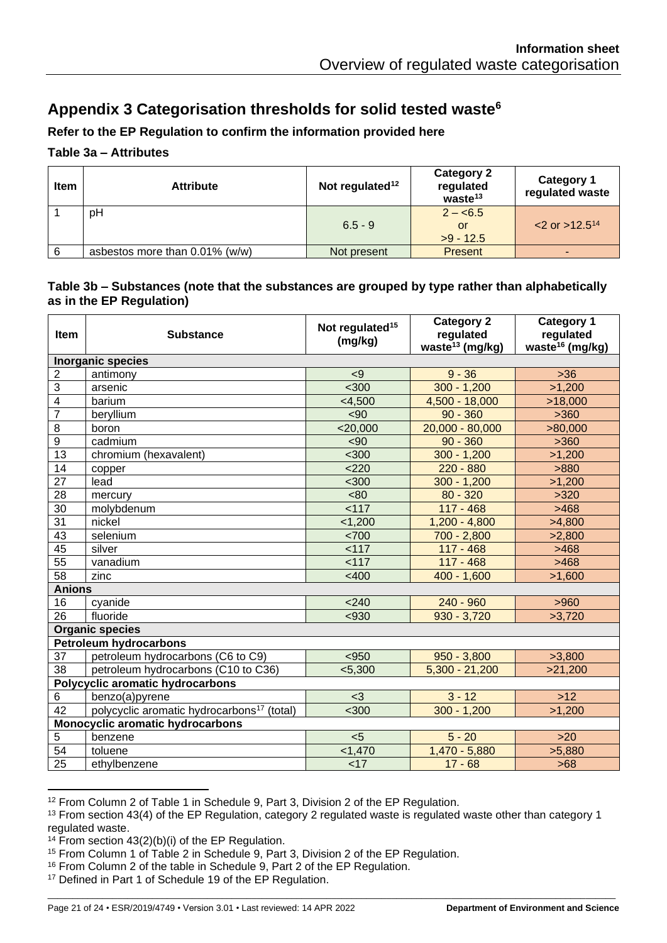# <span id="page-20-0"></span>**Appendix 3 Categorisation thresholds for solid tested waste[6](#page-5-2)**

#### **Refer to the EP Regulation to confirm the information provided here**

#### **Table 3a – Attributes**

<span id="page-20-1"></span>

| <b>Item</b> | <b>Attribute</b>                  | Not regulated $12$ | <b>Category 2</b><br>regulated<br>waste <sup>13</sup> | <b>Category 1</b><br>regulated waste |
|-------------|-----------------------------------|--------------------|-------------------------------------------------------|--------------------------------------|
|             | pH                                | $6.5 - 9$          | $2 - 6.5$<br>or<br>$>9 - 12.5$                        | $<$ 2 or >12.5 <sup>14</sup>         |
| 6           | asbestos more than $0.01\%$ (w/w) | Not present        | <b>Present</b>                                        |                                      |

#### **Table 3b – Substances (note that the substances are grouped by type rather than alphabetically as in the EP Regulation)**

| Item                             | <b>Substance</b>                                       | Not regulated <sup>15</sup><br>(mg/kg) | <b>Category 2</b><br>regulated<br>waste <sup>13</sup> (mg/kg) | <b>Category 1</b><br>regulated<br>waste <sup>16</sup> (mg/kg) |
|----------------------------------|--------------------------------------------------------|----------------------------------------|---------------------------------------------------------------|---------------------------------------------------------------|
|                                  | <b>Inorganic species</b>                               |                                        |                                                               |                                                               |
| $\sqrt{2}$                       | antimony                                               | < 9                                    | $9 - 36$                                                      | $>36$                                                         |
| $\overline{3}$                   | arsenic                                                | $300$                                  | $300 - 1,200$                                                 | >1,200                                                        |
| $\overline{4}$                   | barium                                                 | $<$ 4,500                              | 4,500 - 18,000                                                | >18,000                                                       |
| $\overline{7}$                   | beryllium                                              | <90                                    | $90 - 360$                                                    | >360                                                          |
| 8                                | boron                                                  | $<$ 20,000                             | $20,000 - 80,000$                                             | >80,000                                                       |
| $\boldsymbol{9}$                 | cadmium                                                | $90$                                   | $90 - 360$                                                    | >360                                                          |
| 13                               | chromium (hexavalent)                                  | $300$                                  | $300 - 1,200$                                                 | >1,200                                                        |
| 14                               | copper                                                 | < 220                                  | $220 - 880$                                                   | >880                                                          |
| 27                               | lead                                                   | $300$                                  | $300 - 1,200$                                                 | >1,200                                                        |
| 28                               | mercury                                                | <80                                    | $80 - 320$                                                    | >320                                                          |
| 30                               | molybdenum                                             | 117                                    | $117 - 468$                                                   | >468                                                          |
| 31                               | nickel                                                 | < 1,200                                | $1,200 - 4,800$                                               | >4,800                                                        |
| 43                               | selenium                                               | <700                                   | $700 - 2,800$                                                 | >2,800                                                        |
| 45                               | silver                                                 | 117                                    | $117 - 468$                                                   | >468                                                          |
| 55                               | vanadium                                               | 117                                    | $117 - 468$                                                   | >468                                                          |
| 58                               | zinc                                                   | $<$ 400                                | $400 - 1,600$                                                 | >1,600                                                        |
| <b>Anions</b>                    |                                                        |                                        |                                                               |                                                               |
| 16                               | cyanide                                                | < 240                                  | $240 - 960$                                                   | >960                                                          |
| 26                               | fluoride                                               | < 930                                  | $930 - 3,720$                                                 | >3,720                                                        |
|                                  | <b>Organic species</b>                                 |                                        |                                                               |                                                               |
|                                  | <b>Petroleum hydrocarbons</b>                          |                                        |                                                               |                                                               |
| 37                               | petroleum hydrocarbons (C6 to C9)                      | $950$                                  | $950 - 3,800$                                                 | >3,800                                                        |
| 38                               | petroleum hydrocarbons (C10 to C36)                    | < 5,300                                | $5,300 - 21,200$                                              | >21,200                                                       |
|                                  | Polycyclic aromatic hydrocarbons                       |                                        |                                                               |                                                               |
| 6                                | benzo(a)pyrene                                         | $3$                                    | $3 - 12$                                                      | $>12$                                                         |
| 42                               | polycyclic aromatic hydrocarbons <sup>17</sup> (total) | $300$                                  | $300 - 1,200$                                                 | >1,200                                                        |
| Monocyclic aromatic hydrocarbons |                                                        |                                        |                                                               |                                                               |
| 5                                | benzene                                                | $5$                                    | $5 - 20$                                                      | $>20$                                                         |
| 54                               | toluene                                                | < 1,470                                | $1,470 - 5,880$                                               | >5,880                                                        |
| 25                               | ethylbenzene                                           | <17                                    | $17 - 68$                                                     | $>68$                                                         |

<span id="page-20-2"></span><sup>12</sup> From Column 2 of Table 1 in Schedule 9, Part 3, Division 2 of the EP Regulation.

\_\_\_\_\_\_\_\_\_\_\_\_\_\_\_\_\_\_\_\_\_\_\_\_\_\_\_\_\_\_\_\_\_\_\_\_\_\_\_\_\_\_\_\_\_\_\_\_\_\_\_\_\_\_\_\_\_\_\_\_\_\_\_\_\_\_\_\_\_\_\_\_\_\_\_\_\_\_\_\_\_\_\_\_\_\_\_\_\_\_\_\_\_\_\_\_\_\_\_\_\_\_\_\_\_\_\_\_\_\_\_\_\_\_

<sup>17</sup> Defined in Part 1 of Schedule 19 of the EP Regulation.

<sup>&</sup>lt;sup>13</sup> From section 43(4) of the EP Regulation, category 2 regulated waste is regulated waste other than category 1 regulated waste.

<sup>&</sup>lt;sup>14</sup> From section  $43(2)(b)(i)$  of the EP Regulation.

<sup>15</sup> From Column 1 of Table 2 in Schedule 9, Part 3, Division 2 of the EP Regulation.

<sup>16</sup> From Column 2 of the table in Schedule 9, Part 2 of the EP Regulation.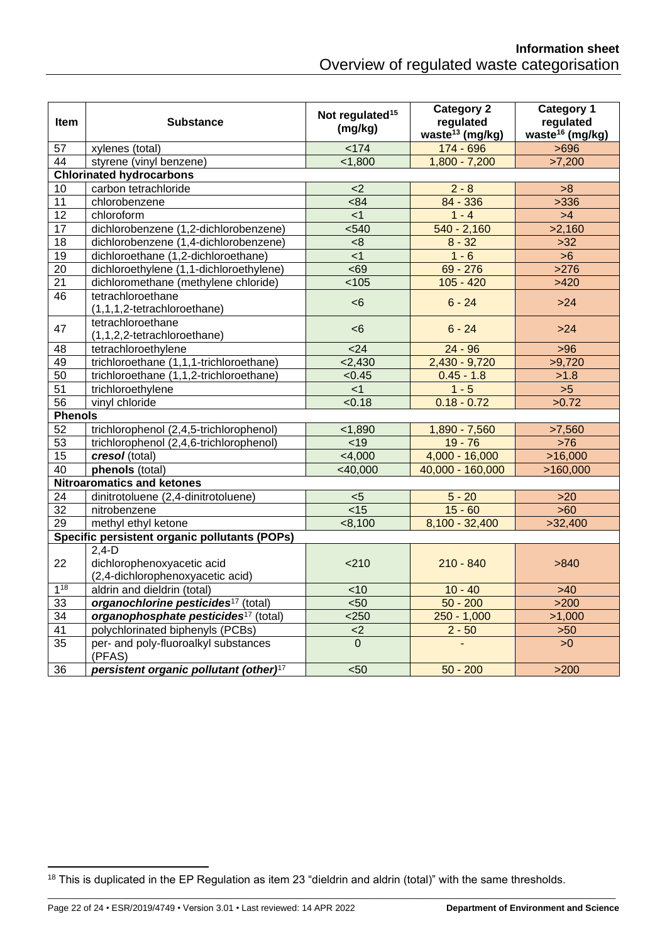| <b>Item</b>     | <b>Substance</b>                                   | Not regulated <sup>15</sup><br>(mg/kg) | <b>Category 2</b><br>regulated<br>waste <sup>13</sup> (mg/kg) | <b>Category 1</b><br>regulated<br>waste <sup>16</sup> (mg/kg) |
|-----------------|----------------------------------------------------|----------------------------------------|---------------------------------------------------------------|---------------------------------------------------------------|
| 57              | xylenes (total)                                    | 174                                    | 174 - 696                                                     | >696                                                          |
| $\overline{44}$ | styrene (vinyl benzene)                            | < 1,800                                | $1,800 - 7,200$                                               | >7,200                                                        |
|                 | <b>Chlorinated hydrocarbons</b>                    |                                        |                                                               |                                                               |
| 10              | carbon tetrachloride                               | $<$ 2                                  | $2 - 8$                                                       | >8                                                            |
| 11              | chlorobenzene                                      | <84                                    | 84 - 336                                                      | >336                                                          |
| $\overline{12}$ | chloroform                                         | $<$ 1                                  | $1 - 4$                                                       | >4                                                            |
| 17              | dichlorobenzene (1,2-dichlorobenzene)              | $540$                                  | $540 - 2,160$                                                 | >2,160                                                        |
| $\overline{18}$ | dichlorobenzene (1,4-dichlorobenzene)              | <8                                     | $8 - 32$                                                      | $>32$                                                         |
| 19              | dichloroethane (1,2-dichloroethane)                | < 1                                    | $1 - 6$                                                       | $>6$                                                          |
| 20              | dichloroethylene (1,1-dichloroethylene)            | <69                                    | $69 - 276$                                                    | >276                                                          |
| 21              | dichloromethane (methylene chloride)               | 105                                    | $105 - 420$                                                   | >420                                                          |
| 46              | tetrachloroethane<br>(1,1,1,2-tetrachloroethane)   | <6                                     | $6 - 24$                                                      | $>24$                                                         |
| 47              | tetrachloroethane<br>(1,1,2,2-tetrachloroethane)   | <6                                     | $6 - 24$                                                      | $>24$                                                         |
| $\overline{48}$ | tetrachloroethylene                                | $24$                                   | $24 - 96$                                                     | $>96$                                                         |
| 49              | trichloroethane (1,1,1-trichloroethane)            | 2,430                                  | $2,430 - 9,720$                                               | >9,720                                                        |
| 50              | trichloroethane (1,1,2-trichloroethane)            | < 0.45                                 | $0.45 - 1.8$                                                  | >1.8                                                          |
| 51              | trichloroethylene                                  | < 1                                    | $1 - 5$                                                       | $>5$                                                          |
| $\overline{56}$ | vinyl chloride                                     | < 0.18                                 | $0.18 - 0.72$                                                 | >0.72                                                         |
| <b>Phenols</b>  |                                                    |                                        |                                                               |                                                               |
| 52              | trichlorophenol (2,4,5-trichlorophenol)            | < 1,890                                | 1,890 - 7,560                                                 | >7,560                                                        |
| 53              | trichlorophenol (2,4,6-trichlorophenol)            | < 19                                   | $19 - 76$                                                     | $>76$                                                         |
| 15              | cresol (total)                                     | < 4,000                                | 4,000 - 16,000                                                | >16,000                                                       |
| 40              | phenols (total)                                    | $<$ 40,000                             | 40,000 - 160,000                                              | >160,000                                                      |
|                 | <b>Nitroaromatics and ketones</b>                  |                                        |                                                               |                                                               |
| 24              | dinitrotoluene (2,4-dinitrotoluene)                | 5                                      | $5 - 20$                                                      | $>20$                                                         |
| $\overline{32}$ | nitrobenzene                                       | $\overline{<}$ 15                      | $15 - 60$                                                     | $>60$                                                         |
| 29              | methyl ethyl ketone                                | < 8,100                                | $8,100 - 32,400$                                              | >32,400                                                       |
|                 | Specific persistent organic pollutants (POPs)      |                                        |                                                               |                                                               |
|                 | $2,4-D$                                            |                                        |                                                               |                                                               |
| 22              | dichlorophenoxyacetic acid                         | < 210                                  | $210 - 840$                                                   | >840                                                          |
|                 | (2,4-dichlorophenoxyacetic acid)                   |                                        |                                                               |                                                               |
| $1^{18}$        | aldrin and dieldrin (total)                        | <10                                    | $10 - 40$                                                     | $>40$                                                         |
| 33              | organochlorine pesticides <sup>17</sup> (total)    | < 50                                   | $50 - 200$                                                    | $>200$                                                        |
| 34              | organophosphate pesticides <sup>17</sup> (total)   | $<$ 250                                | $250 - 1,000$                                                 | >1,000                                                        |
| 41              | polychlorinated biphenyls (PCBs)                   | <                                      | $2 - 50$                                                      | $>50$                                                         |
| 35              | per- and poly-fluoroalkyl substances<br>(PFAS)     | $\overline{0}$                         |                                                               | >0                                                            |
| 36              | persistent organic pollutant (other) <sup>17</sup> | < 50                                   | $50 - 200$                                                    | $>200$                                                        |

<sup>18</sup> This is duplicated in the EP Regulation as item 23 "dieldrin and aldrin (total)" with the same thresholds.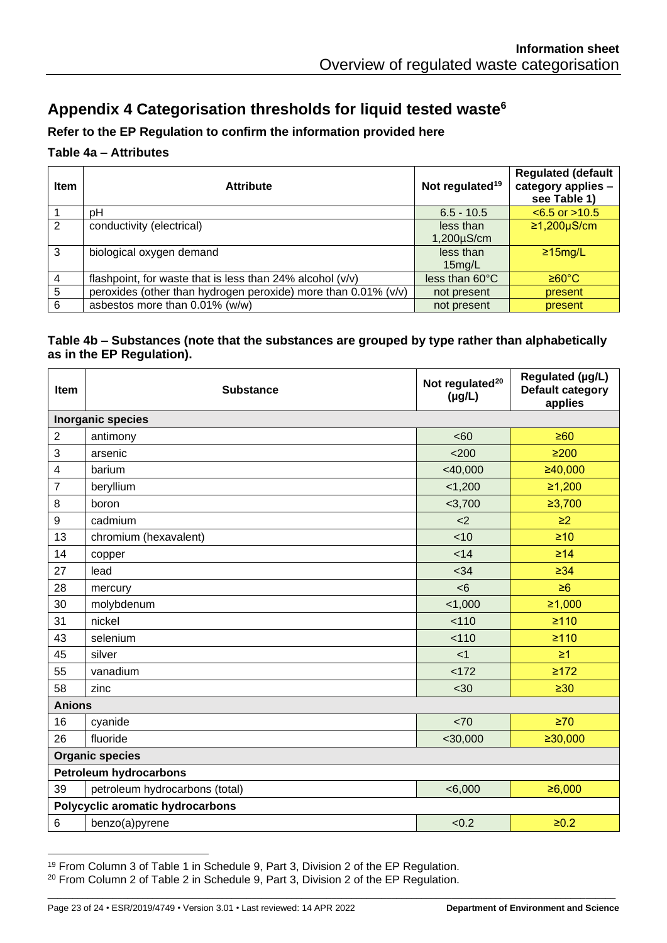# <span id="page-22-0"></span>**Appendix 4 Categorisation thresholds for liquid tested waste[6](#page-5-2)**

#### **Refer to the EP Regulation to confirm the information provided here**

#### **Table 4a – Attributes**

| <b>Item</b>               | <b>Attribute</b>                                               | Not regulated <sup>19</sup> | <b>Regulated (default</b><br>category applies -<br>see Table 1) |
|---------------------------|----------------------------------------------------------------|-----------------------------|-----------------------------------------------------------------|
|                           | рH                                                             | $6.5 - 10.5$                | $< 6.5$ or $> 10.5$                                             |
| 2                         | conductivity (electrical)                                      | less than                   | $≥1,200µS/cm$                                                   |
|                           |                                                                | $1,200\mu$ S/cm             |                                                                 |
| 3                         | biological oxygen demand                                       | less than                   | $\geq$ 15mg/L                                                   |
|                           |                                                                | 15mg/L                      |                                                                 |
| $\boldsymbol{\varLambda}$ | flashpoint, for waste that is less than 24% alcohol (v/v)      | less than 60°C              | ≥60°C                                                           |
| 5                         | peroxides (other than hydrogen peroxide) more than 0.01% (v/v) | not present                 | present                                                         |
| 6                         | asbestos more than 0.01% (w/w)                                 | not present                 | present                                                         |

#### **Table 4b – Substances (note that the substances are grouped by type rather than alphabetically as in the EP Regulation).**

| Item                          | <b>Substance</b>                 | Not regulated <sup>20</sup><br>$(\mu g/L)$ | Regulated (µg/L)<br>Default category<br>applies |
|-------------------------------|----------------------------------|--------------------------------------------|-------------------------------------------------|
|                               | <b>Inorganic species</b>         |                                            |                                                 |
| $\overline{2}$                | antimony                         | <60                                        | $\geq 60$                                       |
| 3                             | arsenic                          | < 200                                      | $\geq 200$                                      |
| $\overline{\mathbf{4}}$       | barium                           | $<$ 40,000                                 | ≥40,000                                         |
| 7                             | beryllium                        | < 1,200                                    | ≥1,200                                          |
| 8                             | boron                            | $<$ 3,700                                  | ≥3,700                                          |
| $9\,$                         | cadmium                          | <                                          | $\geq$ 2                                        |
| 13                            | chromium (hexavalent)            | < 10                                       | $\geq 10$                                       |
| 14                            | copper                           | < 14                                       | $\geq 14$                                       |
| 27                            | lead                             | <34                                        | $\geq 34$                                       |
| 28                            | mercury                          | <6                                         | $\geq 6$                                        |
| 30                            | molybdenum                       | 1,000                                      | ≥1,000                                          |
| 31                            | nickel                           | 110                                        | $\geq 110$                                      |
| 43                            | selenium                         | 110                                        | $\geq 110$                                      |
| 45                            | silver                           | < 1                                        | $\geq 1$                                        |
| 55                            | vanadium                         | < 172                                      | $\geq 172$                                      |
| 58                            | zinc                             | $30$                                       | $\geq 30$                                       |
| <b>Anions</b>                 |                                  |                                            |                                                 |
| 16                            | cyanide                          | < 70                                       | $\geq 70$                                       |
| 26                            | fluoride                         | $<$ 30,000                                 | ≥30,000                                         |
| <b>Organic species</b>        |                                  |                                            |                                                 |
| <b>Petroleum hydrocarbons</b> |                                  |                                            |                                                 |
| 39                            | petroleum hydrocarbons (total)   | < 6,000                                    | ≥6,000                                          |
|                               | Polycyclic aromatic hydrocarbons |                                            |                                                 |
| 6                             | benzo(a)pyrene                   | < 0.2                                      | $≥0.2$                                          |

<sup>19</sup> From Column 3 of Table 1 in Schedule 9, Part 3, Division 2 of the EP Regulation. <sup>20</sup> From Column 2 of Table 2 in Schedule 9, Part 3, Division 2 of the EP Regulation.

Page 23 of 24 • ESR/2019/4749 • Version 3.01 • Last reviewed: 14 APR 2022 **Department of Environment and Science**